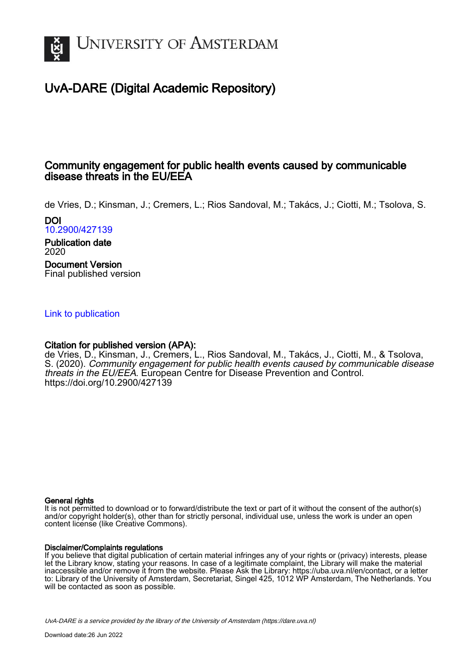

## UvA-DARE (Digital Academic Repository)

## Community engagement for public health events caused by communicable disease threats in the EU/EEA

de Vries, D.; Kinsman, J.; Cremers, L.; Rios Sandoval, M.; Takács, J.; Ciotti, M.; Tsolova, S. DOI

[10.2900/427139](https://doi.org/10.2900/427139)

Publication date 2020 Document Version Final published version

#### [Link to publication](https://dare.uva.nl/personal/pure/en/publications/community-engagement-for-public-health-events-caused-by-communicable-disease-threats-in-the-eueea(d5f35b6f-e139-40a8-bed0-26f452f2fd74).html)

#### Citation for published version (APA):

de Vries, D., Kinsman, J., Cremers, L., Rios Sandoval, M., Takács, J., Ciotti, M., & Tsolova, S. (2020). Community engagement for public health events caused by communicable disease threats in the EU/EEA. European Centre for Disease Prevention and Control. <https://doi.org/10.2900/427139>

#### General rights

It is not permitted to download or to forward/distribute the text or part of it without the consent of the author(s) and/or copyright holder(s), other than for strictly personal, individual use, unless the work is under an open content license (like Creative Commons).

#### Disclaimer/Complaints regulations

If you believe that digital publication of certain material infringes any of your rights or (privacy) interests, please let the Library know, stating your reasons. In case of a legitimate complaint, the Library will make the material inaccessible and/or remove it from the website. Please Ask the Library: https://uba.uva.nl/en/contact, or a letter to: Library of the University of Amsterdam, Secretariat, Singel 425, 1012 WP Amsterdam, The Netherlands. You will be contacted as soon as possible.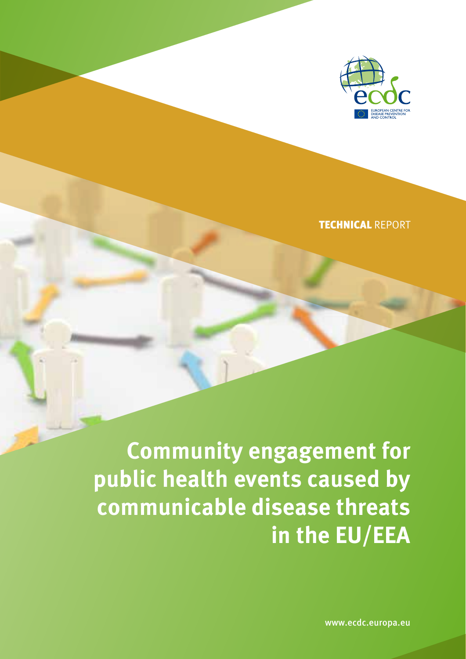

TECHNICAL REPORT

**Community engagement for public health events caused by communicable disease threats in the EU/EEA**

www.ecdc.europa.eu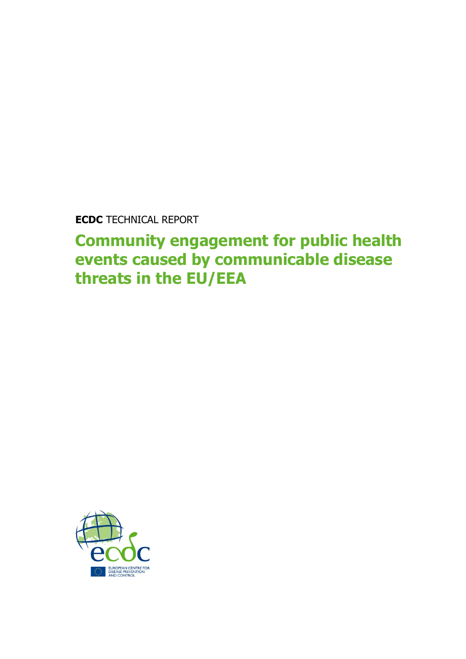**ECDC** TECHNICAL REPORT

**Community engagement for public health events caused by communicable disease threats in the EU/EEA**

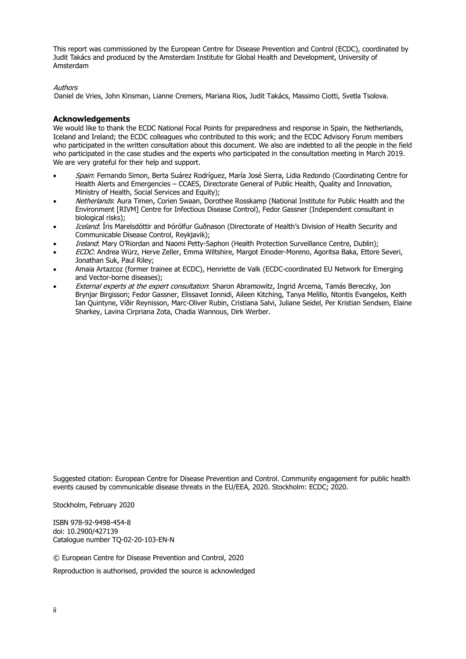This report was commissioned by the European Centre for Disease Prevention and Control (ECDC), coordinated by Judit Takács and produced by the Amsterdam Institute for Global Health and Development, University of Amsterdam

#### Authors

Daniel de Vries, John Kinsman, Lianne Cremers, Mariana Rios, Judit Takács, Massimo Ciotti, Svetla Tsolova.

#### **Acknowledgements**

We would like to thank the ECDC National Focal Points for preparedness and response in Spain, the Netherlands, Iceland and Ireland; the ECDC colleagues who contributed to this work; and the ECDC Advisory Forum members who participated in the written consultation about this document. We also are indebted to all the people in the field who participated in the case studies and the experts who participated in the consultation meeting in March 2019. We are very grateful for their help and support.

- Spain: Fernando Simon, Berta Suárez Rodríguez, María José Sierra, Lidia Redondo (Coordinating Centre for Health Alerts and Emergencies – CCAES, Directorate General of Public Health, Quality and Innovation, Ministry of Health, Social Services and Equity);
- Netherlands: Aura Timen, Corien Swaan, Dorothee Rosskamp (National Institute for Public Health and the Environment [RIVM] Centre for Infectious Disease Control), Fedor Gassner (Independent consultant in biological risks);
- Iceland: Íris Marelsdóttir and Þórólfur Guðnason (Directorate of Health's Division of Health Security and Communicable Disease Control, Reykjavik);
- Ireland: Mary O'Riordan and Naomi Petty-Saphon (Health Protection Surveillance Centre, Dublin);
- ECDC: Andrea Würz, Herve Zeller, Emma Wiltshire, Margot Einoder-Moreno, Agoritsa Baka, Ettore Severi, Jonathan Suk, Paul Riley;
- Amaia Artazcoz (former trainee at ECDC), Henriette de Valk (ECDC-coordinated EU Network for Emerging and Vector-borne diseases);
- External experts at the expert consultation: Sharon Abramowitz, Ingrid Arcema, Tamás Bereczky, Jon Brynjar Birgisson; Fedor Gassner, Elissavet Ionnidi, Aileen Kitching, Tanya Melillo, Ntontis Evangelos, Keith Ian Quintyne, Víðir Reynisson, Marc-Oliver Rubin, Cristiana Salvi, Juliane Seidel, Per Kristian Sendsen, Elaine Sharkey, Lavina Cirpriana Zota, Chadia Wannous, Dirk Werber.

Suggested citation: European Centre for Disease Prevention and Control. Community engagement for public health events caused by communicable disease threats in the EU/EEA, 2020. Stockholm: ECDC; 2020.

Stockholm, February 2020

ISBN 978-92-9498-454-8 doi: 10.2900/427139 Catalogue number TQ-02-20-103-EN-N

© European Centre for Disease Prevention and Control, 2020

Reproduction is authorised, provided the source is acknowledged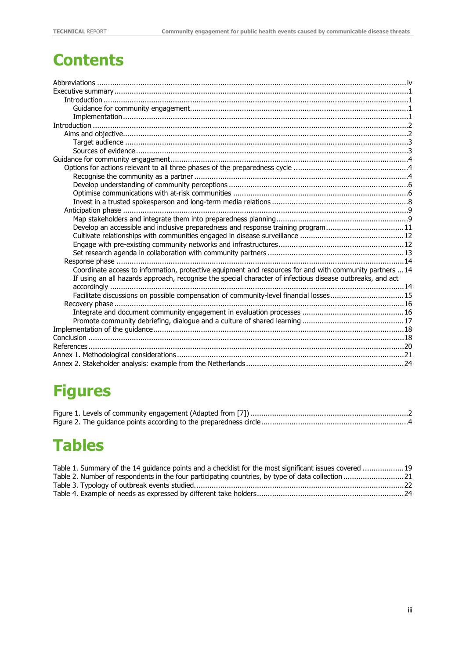# **Contents**

| $In traditional equation and equation in equation equation equation equation equation equation equation equation equation equation equation equation equation equation equation equation equation equation equation equation equation equation equation equ$ |  |
|--------------------------------------------------------------------------------------------------------------------------------------------------------------------------------------------------------------------------------------------------------------|--|
|                                                                                                                                                                                                                                                              |  |
|                                                                                                                                                                                                                                                              |  |
|                                                                                                                                                                                                                                                              |  |
|                                                                                                                                                                                                                                                              |  |
|                                                                                                                                                                                                                                                              |  |
|                                                                                                                                                                                                                                                              |  |
|                                                                                                                                                                                                                                                              |  |
|                                                                                                                                                                                                                                                              |  |
|                                                                                                                                                                                                                                                              |  |
|                                                                                                                                                                                                                                                              |  |
|                                                                                                                                                                                                                                                              |  |
| Develop an accessible and inclusive preparedness and response training program11                                                                                                                                                                             |  |
|                                                                                                                                                                                                                                                              |  |
|                                                                                                                                                                                                                                                              |  |
|                                                                                                                                                                                                                                                              |  |
|                                                                                                                                                                                                                                                              |  |
| Coordinate access to information, protective equipment and resources for and with community partners  14                                                                                                                                                     |  |
| If using an all hazards approach, recognise the special character of infectious disease outbreaks, and act                                                                                                                                                   |  |
|                                                                                                                                                                                                                                                              |  |
| Facilitate discussions on possible compensation of community-level financial losses15                                                                                                                                                                        |  |
|                                                                                                                                                                                                                                                              |  |
|                                                                                                                                                                                                                                                              |  |
|                                                                                                                                                                                                                                                              |  |
|                                                                                                                                                                                                                                                              |  |
|                                                                                                                                                                                                                                                              |  |
|                                                                                                                                                                                                                                                              |  |
|                                                                                                                                                                                                                                                              |  |
|                                                                                                                                                                                                                                                              |  |

# **Figures**

# **Tables**

| Table 1. Summary of the 14 quidance points and a checklist for the most significant issues covered 19 |  |
|-------------------------------------------------------------------------------------------------------|--|
| Table 2. Number of respondents in the four participating countries, by type of data collection 21     |  |
|                                                                                                       |  |
|                                                                                                       |  |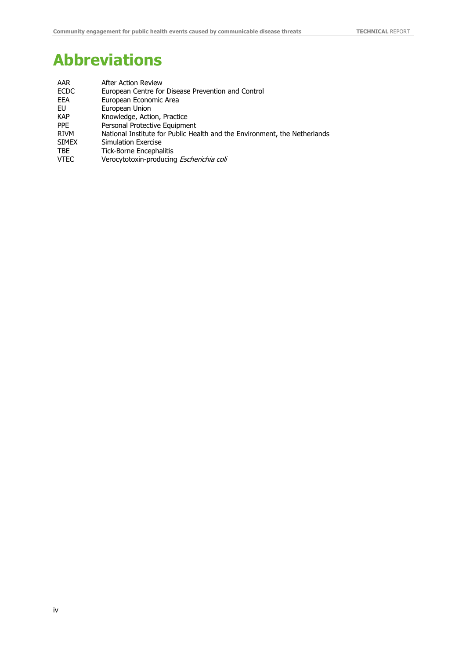# <span id="page-5-0"></span>**Abbreviations**

| AAR          | <b>After Action Review</b>                                                |
|--------------|---------------------------------------------------------------------------|
| <b>ECDC</b>  | European Centre for Disease Prevention and Control                        |
| EEA          | European Economic Area                                                    |
| EU           | European Union                                                            |
| <b>KAP</b>   | Knowledge, Action, Practice                                               |
| <b>PPE</b>   | Personal Protective Equipment                                             |
| <b>RIVM</b>  | National Institute for Public Health and the Environment, the Netherlands |
| <b>SIMEX</b> | Simulation Exercise                                                       |
| <b>TBE</b>   | <b>Tick-Borne Encephalitis</b>                                            |
| <b>VTEC</b>  | Verocytotoxin-producing Escherichia coli                                  |
|              |                                                                           |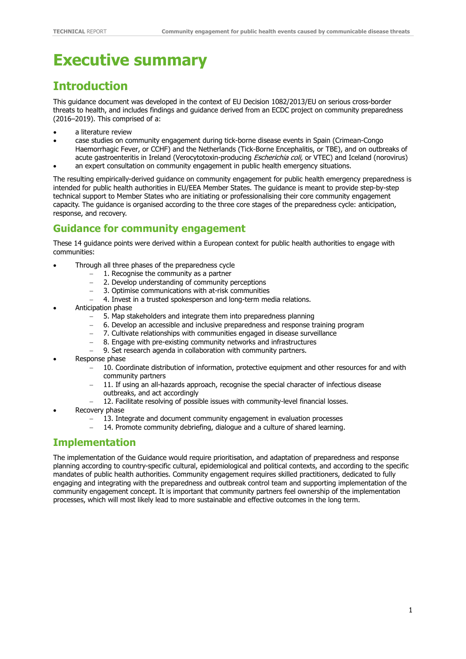# <span id="page-6-0"></span>**Executive summary**

## <span id="page-6-1"></span>**Introduction**

This guidance document was developed in the context of EU Decision 1082/2013/EU on serious cross-border threats to health, and includes findings and guidance derived from an ECDC project on community preparedness (2016–2019). This comprised of a:

- a literature review
- case studies on community engagement during tick-borne disease events in Spain (Crimean-Congo Haemorrhagic Fever, or CCHF) and the Netherlands (Tick-Borne Encephalitis, or TBE), and on outbreaks of acute gastroenteritis in Ireland (Verocytotoxin-producing *Escherichia coli,* or VTEC) and Iceland (norovirus)
- an expert consultation on community engagement in public health emergency situations.

The resulting empirically-derived guidance on community engagement for public health emergency preparedness is intended for public health authorities in EU/EEA Member States. The guidance is meant to provide step-by-step technical support to Member States who are initiating or professionalising their core community engagement capacity. The guidance is organised according to the three core stages of the preparedness cycle: anticipation, response, and recovery.

## <span id="page-6-2"></span>**Guidance for community engagement**

These 14 guidance points were derived within a European context for public health authorities to engage with communities:

- Through all three phases of the preparedness cycle
	- − 1. Recognise the community as a partner<br>- 2. Develop understanding of community r
		- 2. Develop understanding of community perceptions
	- − 3. Optimise communications with at-risk communities
	- 4. Invest in a trusted spokesperson and long-term media relations.
- Anticipation phase
	- 5. Map stakeholders and integrate them into preparedness planning
	- − 6. Develop an accessible and inclusive preparedness and response training program
	- 7. Cultivate relationships with communities engaged in disease surveillance
	- 8. Engage with pre-existing community networks and infrastructures
	- 9. Set research agenda in collaboration with community partners.
- Response phase
	- − 10. Coordinate distribution of information, protective equipment and other resources for and with community partners
	- − 11. If using an all-hazards approach, recognise the special character of infectious disease outbreaks, and act accordingly
	- 12. Facilitate resolving of possible issues with community-level financial losses.
- Recovery phase
	- 13. Integrate and document community engagement in evaluation processes
	- 14. Promote community debriefing, dialogue and a culture of shared learning.

## <span id="page-6-3"></span>**Implementation**

The implementation of the Guidance would require prioritisation, and adaptation of preparedness and response planning according to country-specific cultural, epidemiological and political contexts, and according to the specific mandates of public health authorities. Community engagement requires skilled practitioners, dedicated to fully engaging and integrating with the preparedness and outbreak control team and supporting implementation of the community engagement concept. It is important that community partners feel ownership of the implementation processes, which will most likely lead to more sustainable and effective outcomes in the long term.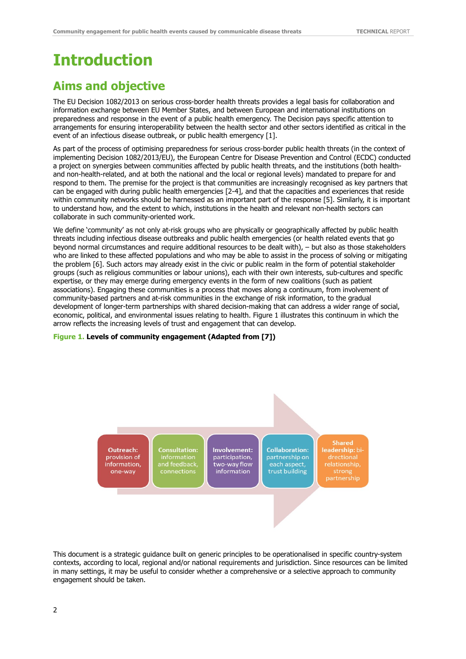# <span id="page-7-0"></span>**Introduction**

## <span id="page-7-1"></span>**Aims and objective**

The EU Decision 1082/2013 on serious cross-border health threats provides a legal basis for collaboration and information exchange between EU Member States, and between European and international institutions on preparedness and response in the event of a public health emergency. The Decision pays specific attention to arrangements for ensuring interoperability between the health sector and other sectors identified as critical in the event of an infectious disease outbreak, or public health emergency [1].

As part of the process of optimising preparedness for serious cross-border public health threats (in the context of implementing Decision 1082/2013/EU), the European Centre for Disease Prevention and Control (ECDC) conducted a project on synergies between communities affected by public health threats, and the institutions (both healthand non-health-related, and at both the national and the local or regional levels) mandated to prepare for and respond to them. The premise for the project is that communities are increasingly recognised as key partners that can be engaged with during public health emergencies [2-4], and that the capacities and experiences that reside within community networks should be harnessed as an important part of the response [5]. Similarly, it is important to understand how, and the extent to which, institutions in the health and relevant non-health sectors can collaborate in such community-oriented work.

We define 'community' as not only at-risk groups who are physically or geographically affected by public health threats including infectious disease outbreaks and public health emergencies (or health related events that go beyond normal circumstances and require additional resources to be dealt with), – but also as those stakeholders who are linked to these affected populations and who may be able to assist in the process of solving or mitigating the problem [6]. Such actors may already exist in the civic or public realm in the form of potential stakeholder groups (such as religious communities or labour unions), each with their own interests, sub-cultures and specific expertise, or they may emerge during emergency events in the form of new coalitions (such as patient associations). Engaging these communities is a process that moves along a continuum, from involvement of community-based partners and at-risk communities in the exchange of risk information, to the gradual development of longer-term partnerships with shared decision-making that can address a wider range of social, economic, political, and environmental issues relating to health. Figure 1 illustrates this continuum in which the arrow reflects the increasing levels of trust and engagement that can develop.

#### <span id="page-7-2"></span>**Figure 1. Levels of community engagement (Adapted from [7])**

Outreach: provision of information, one-way

**Consultation:** and feedback

Involvement: participation. two-way flow information

**Collaboration:** partnership on each aspect. trust building

**Shared** leadership: bidrectional relationship, partnership

This document is a strategic guidance built on generic principles to be operationalised in specific country-system contexts, according to local, regional and/or national requirements and jurisdiction. Since resources can be limited in many settings, it may be useful to consider whether a comprehensive or a selective approach to community engagement should be taken.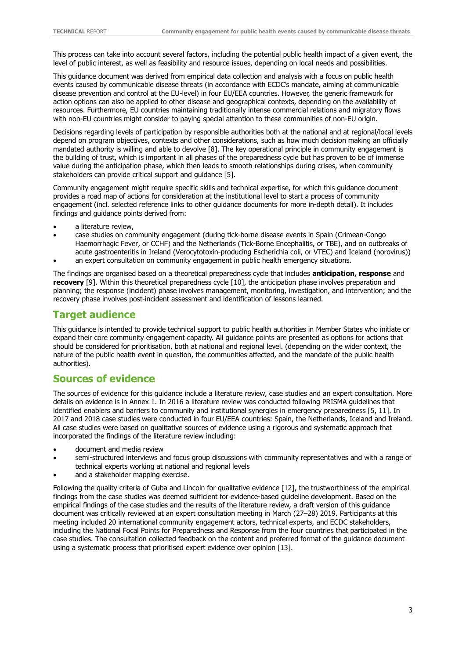This process can take into account several factors, including the potential public health impact of a given event, the level of public interest, as well as feasibility and resource issues, depending on local needs and possibilities.

This guidance document was derived from empirical data collection and analysis with a focus on public health events caused by communicable disease threats (in accordance with ECDC's mandate, aiming at communicable disease prevention and control at the EU-level) in four EU/EEA countries. However, the generic framework for action options can also be applied to other disease and geographical contexts, depending on the availability of resources. Furthermore, EU countries maintaining traditionally intense commercial relations and migratory flows with non-EU countries might consider to paying special attention to these communities of non-EU origin.

Decisions regarding levels of participation by responsible authorities both at the national and at regional/local levels depend on program objectives, contexts and other considerations, such as how much decision making an officially mandated authority is willing and able to devolve [8]. The key operational principle in community engagement is the building of trust, which is important in all phases of the preparedness cycle but has proven to be of immense value during the anticipation phase, which then leads to smooth relationships during crises, when community stakeholders can provide critical support and guidance [5].

Community engagement might require specific skills and technical expertise, for which this guidance document provides a road map of actions for consideration at the institutional level to start a process of community engagement (incl. selected reference links to other guidance documents for more in-depth detail). It includes findings and guidance points derived from:

- a literature review,
- case studies on community engagement (during tick-borne disease events in Spain (Crimean-Congo Haemorrhagic Fever, or CCHF) and the Netherlands (Tick-Borne Encephalitis, or TBE), and on outbreaks of acute gastroenteritis in Ireland (Verocytotoxin-producing Escherichia coli, or VTEC) and Iceland (norovirus))
- an expert consultation on community engagement in public health emergency situations.

The findings are organised based on a theoretical preparedness cycle that includes **anticipation, response** and **recovery** [9]. Within this theoretical preparedness cycle [10], the anticipation phase involves preparation and planning; the response (incident) phase involves management, monitoring, investigation, and intervention; and the recovery phase involves post-incident assessment and identification of lessons learned.

## <span id="page-8-0"></span>**Target audience**

This guidance is intended to provide technical support to public health authorities in Member States who initiate or expand their core community engagement capacity. All guidance points are presented as options for actions that should be considered for prioritisation, both at national and regional level. (depending on the wider context, the nature of the public health event in question, the communities affected, and the mandate of the public health authorities).

## <span id="page-8-1"></span>**Sources of evidence**

The sources of evidence for this guidance include a literature review, case studies and an expert consultation. More details on evidence is in Annex 1. In 2016 a literature review was conducted following PRISMA guidelines that identified enablers and barriers to community and institutional synergies in emergency preparedness [5, 11]. In 2017 and 2018 case studies were conducted in four EU/EEA countries: Spain, the Netherlands, Iceland and Ireland. All case studies were based on qualitative sources of evidence using a rigorous and systematic approach that incorporated the findings of the literature review including:

- document and media review
- semi-structured interviews and focus group discussions with community representatives and with a range of technical experts working at national and regional levels
- and a stakeholder mapping exercise.

Following the quality criteria of Guba and Lincoln for qualitative evidence [12], the trustworthiness of the empirical findings from the case studies was deemed sufficient for evidence-based guideline development. Based on the empirical findings of the case studies and the results of the literature review, a draft version of this guidance document was critically reviewed at an expert consultation meeting in March (27–28) 2019. Participants at this meeting included 20 international community engagement actors, technical experts, and ECDC stakeholders, including the National Focal Points for Preparedness and Response from the four countries that participated in the case studies. The consultation collected feedback on the content and preferred format of the guidance document using a systematic process that prioritised expert evidence over opinion [13].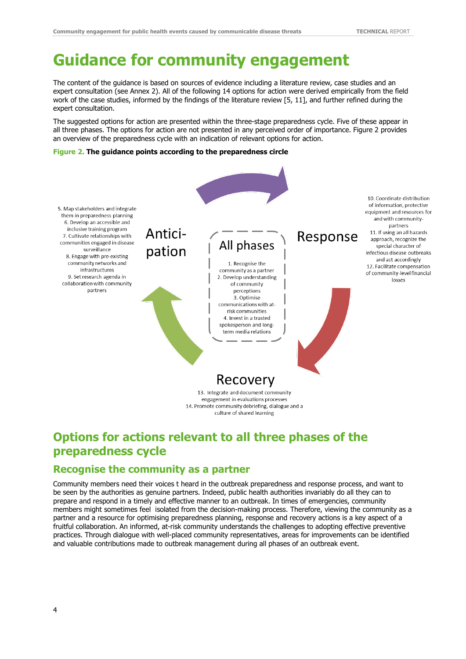# <span id="page-9-0"></span>**Guidance for community engagement**

The content of the guidance is based on sources of evidence including a literature review, case studies and an expert consultation (see Annex 2). All of the following 14 options for action were derived empirically from the field work of the case studies, informed by the findings of the literature review [5, 11], and further refined during the expert consultation.

The suggested options for action are presented within the three-stage preparedness cycle. Five of these appear in all three phases. The options for action are not presented in any perceived order of importance. Figure 2 provides an overview of the preparedness cycle with an indication of relevant options for action.

#### <span id="page-9-3"></span>**Figure 2. The guidance points according to the preparedness circle**



13. Integrate and document community engagement in evaluations processes 14. Promote community debriefing, dialogue and a culture of shared learning

## <span id="page-9-1"></span>**Options for actions relevant to all three phases of the preparedness cycle**

### <span id="page-9-2"></span>**Recognise the community as a partner**

Community members need their voices t heard in the outbreak preparedness and response process, and want to be seen by the authorities as genuine partners. Indeed, public health authorities invariably do all they can to prepare and respond in a timely and effective manner to an outbreak. In times of emergencies, community members might sometimes feel isolated from the decision-making process. Therefore, viewing the community as a partner and a resource for optimising preparedness planning, response and recovery actions is a key aspect of a fruitful collaboration. An informed, at-risk community understands the challenges to adopting effective preventive practices. Through dialogue with well-placed community representatives, areas for improvements can be identified and valuable contributions made to outbreak management during all phases of an outbreak event.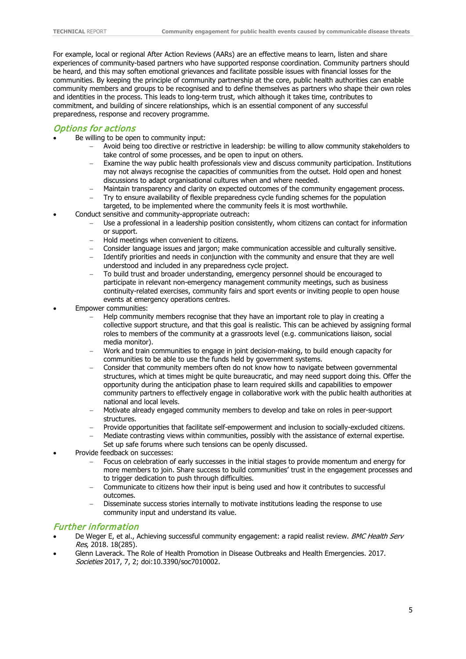For example, local or regional After Action Reviews (AARs) are an effective means to learn, listen and share experiences of community-based partners who have supported response coordination. Community partners should be heard, and this may soften emotional grievances and facilitate possible issues with financial losses for the communities. By keeping the principle of community partnership at the core, public health authorities can enable community members and groups to be recognised and to define themselves as partners who shape their own roles and identities in the process. This leads to long-term trust, which although it takes time, contributes to commitment, and building of sincere relationships, which is an essential component of any successful preparedness, response and recovery programme.

#### Options for actions

- Be willing to be open to community input:
	- − Avoid being too directive or restrictive in leadership: be willing to allow community stakeholders to take control of some processes, and be open to input on others.
	- − Examine the way public health professionals view and discuss community participation. Institutions may not always recognise the capacities of communities from the outset. Hold open and honest discussions to adapt organisational cultures when and where needed.
	- Maintain transparency and clarity on expected outcomes of the community engagement process.
	- Try to ensure availability of flexible preparedness cycle funding schemes for the population targeted, to be implemented where the community feels it is most worthwhile.
- Conduct sensitive and community-appropriate outreach:
	- Use a professional in a leadership position consistently, whom citizens can contact for information or support.
	- − Hold meetings when convenient to citizens.
	- − Consider language issues and jargon; make communication accessible and culturally sensitive.
	- − Identify priorities and needs in conjunction with the community and ensure that they are well understood and included in any preparedness cycle project.
	- To build trust and broader understanding, emergency personnel should be encouraged to participate in relevant non-emergency management community meetings, such as business continuity-related exercises, community fairs and sport events or inviting people to open house events at emergency operations centres.
- Empower communities:
	- − Help community members recognise that they have an important role to play in creating a collective support structure, and that this goal is realistic. This can be achieved by assigning formal roles to members of the community at a grassroots level (e.g. communications liaison, social media monitor).
	- − Work and train communities to engage in joint decision-making, to build enough capacity for communities to be able to use the funds held by government systems.
	- − Consider that community members often do not know how to navigate between governmental structures, which at times might be quite bureaucratic, and may need support doing this. Offer the opportunity during the anticipation phase to learn required skills and capabilities to empower community partners to effectively engage in collaborative work with the public health authorities at national and local levels.
	- − Motivate already engaged community members to develop and take on roles in peer-support structures.
	- − Provide opportunities that facilitate self-empowerment and inclusion to socially-excluded citizens.
	- − Mediate contrasting views within communities, possibly with the assistance of external expertise.
	- Set up safe forums where such tensions can be openly discussed.
- Provide feedback on successes:
	- − Focus on celebration of early successes in the initial stages to provide momentum and energy for more members to join. Share success to build communities' trust in the engagement processes and to trigger dedication to push through difficulties.
	- − Communicate to citizens how their input is being used and how it contributes to successful outcomes.
	- − Disseminate success stories internally to motivate institutions leading the response to use community input and understand its value.

#### Further information

- De Weger E, et al., Achieving successful community engagement: a rapid realist review. BMC Health Serv Res, 2018. 18(285).
- Glenn Laverack. The Role of Health Promotion in Disease Outbreaks and Health Emergencies. 2017. Societies 2017, 7, 2; doi:10.3390/soc7010002.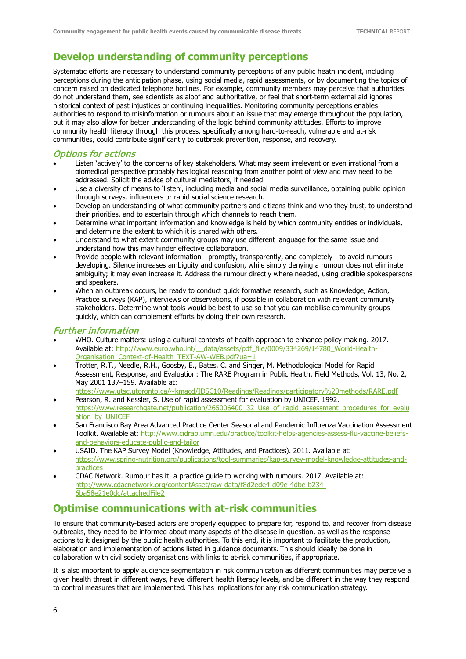## <span id="page-11-0"></span>**Develop understanding of community perceptions**

Systematic efforts are necessary to understand community perceptions of any public heath incident, including perceptions during the anticipation phase, using social media, rapid assessments, or by documenting the topics of concern raised on dedicated telephone hotlines. For example, community members may perceive that authorities do not understand them, see scientists as aloof and authoritative, or feel that short-term external aid ignores historical context of past injustices or continuing inequalities. Monitoring community perceptions enables authorities to respond to misinformation or rumours about an issue that may emerge throughout the population, but it may also allow for better understanding of the logic behind community attitudes. Efforts to improve community health literacy through this process, specifically among hard-to-reach, vulnerable and at-risk communities, could contribute significantly to outbreak prevention, response, and recovery.

#### Options for actions

- Listen 'actively' to the concerns of key stakeholders. What may seem irrelevant or even irrational from a biomedical perspective probably has logical reasoning from another point of view and may need to be addressed. Solicit the advice of cultural mediators, if needed.
- Use a diversity of means to 'listen', including media and social media surveillance, obtaining public opinion through surveys, influencers or rapid social science research.
- Develop an understanding of what community partners and citizens think and who they trust, to understand their priorities, and to ascertain through which channels to reach them.
- Determine what important information and knowledge is held by which community entities or individuals, and determine the extent to which it is shared with others.
- Understand to what extent community groups may use different language for the same issue and understand how this may hinder effective collaboration.
- Provide people with relevant information promptly, transparently, and completely to avoid rumours developing. Silence increases ambiguity and confusion, while simply denying a rumour does not eliminate ambiguity; it may even increase it. Address the rumour directly where needed, using credible spokespersons and speakers.
- When an outbreak occurs, be ready to conduct quick formative research, such as Knowledge, Action, Practice surveys (KAP), interviews or observations, if possible in collaboration with relevant community stakeholders. Determine what tools would be best to use so that you can mobilise community groups quickly, which can complement efforts by doing their own research.

#### Further information

- WHO. Culture matters: using a cultural contexts of health approach to enhance policy-making. 2017. Available at: http://www.euro.who.int/ data/assets/pdf file/0009/334269/14780 World-Health-[Organisation\\_Context-of-Health\\_TEXT-AW-WEB.pdf?ua=1](http://www.euro.who.int/__data/assets/pdf_file/0009/334269/14780_World-Health-Organisation_Context-of-Health_TEXT-AW-WEB.pdf?ua=1)
- Trotter, R.T., Needle, R.H., Goosby, E., Bates, C. and Singer, M. Methodological Model for Rapid Assessment, Response, and Evaluation: The RARE Program in Public Health. Field Methods, Vol. 13, No. 2, May 2001 137–159. Available at:
- [https://www.utsc.utoronto.ca/~kmacd/IDSC10/Readings/Readings/participatory%20methods/RARE.pdf](https://www.utsc.utoronto.ca/%7Ekmacd/IDSC10/Readings/Readings/participatory%20methods/RARE.pdf) • Pearson, R. and Kessler, S. Use of rapid assessment for evaluation by UNICEF. 1992. [https://www.researchgate.net/publication/265006400\\_32\\_Use\\_of\\_rapid\\_assessment\\_procedures\\_for\\_evalu](https://www.researchgate.net/publication/265006400_32_Use_of_rapid_assessment_procedures_for_evaluation_by_UNICEF)
- [ation\\_by\\_UNICEF](https://www.researchgate.net/publication/265006400_32_Use_of_rapid_assessment_procedures_for_evaluation_by_UNICEF) • San Francisco Bay Area Advanced Practice Center Seasonal and Pandemic Influenza Vaccination Assessment Toolkit. Available at: [http://www.cidrap.umn.edu/practice/toolkit-helps-agencies-assess-flu-vaccine-beliefs](http://www.cidrap.umn.edu/practice/toolkit-helps-agencies-assess-flu-vaccine-beliefs-and-behaviors-educate-public-and-tailor)[and-behaviors-educate-public-and-tailor](http://www.cidrap.umn.edu/practice/toolkit-helps-agencies-assess-flu-vaccine-beliefs-and-behaviors-educate-public-and-tailor)
- USAID. The KAP Survey Model (Knowledge, Attitudes, and Practices). 2011. Available at: [https://www.spring-nutrition.org/publications/tool-summaries/kap-survey-model-knowledge-attitudes-and](https://www.spring-nutrition.org/publications/tool-summaries/kap-survey-model-knowledge-attitudes-and-practices)[practices](https://www.spring-nutrition.org/publications/tool-summaries/kap-survey-model-knowledge-attitudes-and-practices)
- CDAC Network. Rumour has it: a practice guide to working with rumours. 2017. Available at: [http://www.cdacnetwork.org/contentAsset/raw-data/f8d2ede4-d09e-4dbe-b234-](http://www.cdacnetwork.org/contentAsset/raw-data/f8d2ede4-d09e-4dbe-b234-6ba58e21e0dc/attachedFile2) [6ba58e21e0dc/attachedFile2](http://www.cdacnetwork.org/contentAsset/raw-data/f8d2ede4-d09e-4dbe-b234-6ba58e21e0dc/attachedFile2)

### <span id="page-11-1"></span>**Optimise communications with at-risk communities**

To ensure that community-based actors are properly equipped to prepare for, respond to, and recover from disease outbreaks, they need to be informed about many aspects of the disease in question, as well as the response actions to it designed by the public health authorities. To this end, it is important to facilitate the production, elaboration and implementation of actions listed in guidance documents. This should ideally be done in collaboration with civil society organisations with links to at-risk communities, if appropriate.

It is also important to apply audience segmentation in risk communication as different communities may perceive a given health threat in different ways, have different health literacy levels, and be different in the way they respond to control measures that are implemented. This has implications for any risk communication strategy.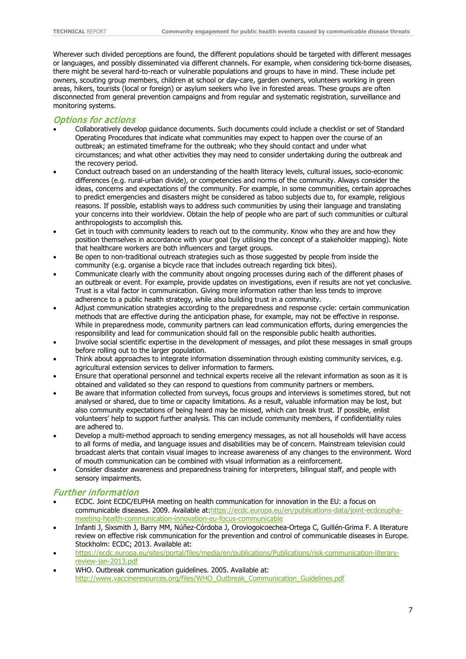Wherever such divided perceptions are found, the different populations should be targeted with different messages or languages, and possibly disseminated via different channels. For example, when considering tick-borne diseases, there might be several hard-to-reach or vulnerable populations and groups to have in mind. These include pet owners, scouting group members, children at school or day-care, garden owners, volunteers working in green areas, hikers, tourists (local or foreign) or asylum seekers who live in forested areas. These groups are often disconnected from general prevention campaigns and from regular and systematic registration, surveillance and monitoring systems.

### Options for actions

- Collaboratively develop guidance documents. Such documents could include a checklist or set of Standard Operating Procedures that indicate what communities may expect to happen over the course of an outbreak; an estimated timeframe for the outbreak; who they should contact and under what circumstances; and what other activities they may need to consider undertaking during the outbreak and the recovery period.
- Conduct outreach based on an understanding of the health literacy levels, cultural issues, socio-economic differences (e.g. rural-urban divide), or competencies and norms of the community. Always consider the ideas, concerns and expectations of the community. For example, in some communities, certain approaches to predict emergencies and disasters might be considered as taboo subjects due to, for example, religious reasons. If possible, establish ways to address such communities by using their language and translating your concerns into their worldview. Obtain the help of people who are part of such communities or cultural anthropologists to accomplish this.
- Get in touch with community leaders to reach out to the community. Know who they are and how they position themselves in accordance with your goal (by utilising the concept of a stakeholder mapping). Note that healthcare workers are both influencers and target groups.
- Be open to non-traditional outreach strategies such as those suggested by people from inside the community (e.g. organise a bicycle race that includes outreach regarding tick bites).
- Communicate clearly with the community about ongoing processes during each of the different phases of an outbreak or event. For example, provide updates on investigations, even if results are not yet conclusive. Trust is a vital factor in communication. Giving more information rather than less tends to improve adherence to a public health strategy, while also building trust in a community.
- Adjust communication strategies according to the preparedness and response cycle: certain communication methods that are effective during the anticipation phase, for example, may not be effective in response. While in preparedness mode, community partners can lead communication efforts, during emergencies the responsibility and lead for communication should fall on the responsible public health authorities.
- Involve social scientific expertise in the development of messages, and pilot these messages in small groups before rolling out to the larger population.
- Think about approaches to integrate information dissemination through existing community services, e.g. agricultural extension services to deliver information to farmers.
- Ensure that operational personnel and technical experts receive all the relevant information as soon as it is obtained and validated so they can respond to questions from community partners or members.
- Be aware that information collected from surveys, focus groups and interviews is sometimes stored, but not analysed or shared, due to time or capacity limitations. As a result, valuable information may be lost, but also community expectations of being heard may be missed, which can break trust. If possible, enlist volunteers' help to support further analysis. This can include community members, if confidentiality rules are adhered to.
- Develop a multi-method approach to sending emergency messages, as not all households will have access to all forms of media, and language issues and disabilities may be of concern. Mainstream television could broadcast alerts that contain visual images to increase awareness of any changes to the environment. Word of mouth communication can be combined with visual information as a reinforcement.
- Consider disaster awareness and preparedness training for interpreters, bilingual staff, and people with sensory impairments.

#### Further information

- ECDC. Joint ECDC/EUPHA meeting on health communication for innovation in the EU: a focus on communicable diseases. 2009. Available at[:https://ecdc.europa.eu/en/publications-data/joint-ecdceupha](https://ecdc.europa.eu/en/publications-data/joint-ecdceupha-meeting-health-communication-innovation-eu-focus-communicable)[meeting-health-communication-innovation-eu-focus-communicable](https://ecdc.europa.eu/en/publications-data/joint-ecdceupha-meeting-health-communication-innovation-eu-focus-communicable)
- Infanti J, Sixsmith J, Barry MM, Núñez-Córdoba J, Oroviogoicoechea-Ortega C, Guillén-Grima F. A literature review on effective risk communication for the prevention and control of communicable diseases in Europe. Stockholm: ECDC; 2013. Available at:
- [https://ecdc.europa.eu/sites/portal/files/media/en/publications/Publications/risk-communication-literary](https://ecdc.europa.eu/sites/portal/files/media/en/publications/Publications/risk-communication-literary-review-jan-2013.pdf)[review-jan-2013.pdf](https://ecdc.europa.eu/sites/portal/files/media/en/publications/Publications/risk-communication-literary-review-jan-2013.pdf)
- WHO. Outbreak communication guidelines. 2005. Available at: [http://www.vaccineresources.org/files/WHO\\_Outbreak\\_Communication\\_Guidelines.pdf](http://www.vaccineresources.org/files/WHO_Outbreak_Communication_Guidelines.pdf)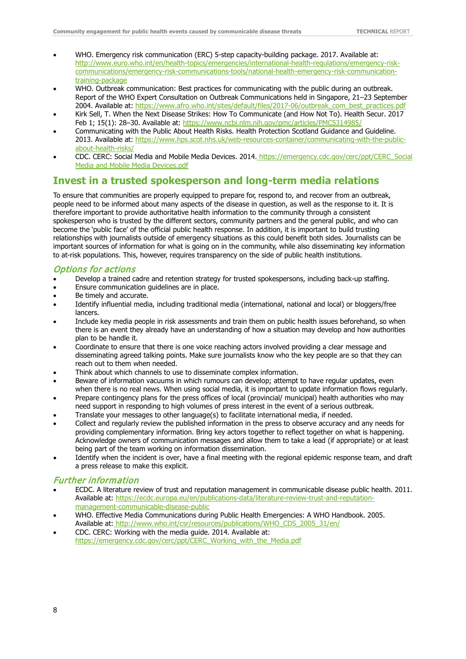- WHO. Emergency risk communication (ERC) 5-step capacity-building package. 2017. Available at: http://www.euro.who.int/en/health-topics/emergencies/international-health-regulations/emergency-riskcommunications/emergency-risk-communications-tools/national-health-emergency-risk-communicationtraining-package
- WHO. Outbreak communication: Best practices for communicating with the public during an outbreak. Report of the WHO Expert Consultation on Outbreak Communications held in Singapore, 21–23 September 2004. Available at: [https://www.afro.who.int/sites/default/files/2017-06/outbreak\\_com\\_best\\_practices.pdf](https://www.afro.who.int/sites/default/files/2017-06/outbreak_com_best_practices.pdf)
- Kirk Sell, T. When the Next Disease Strikes: How To Communicate (and How Not To). Health Secur. 2017 Feb 1; 15(1): 28-30. Available at:<https://www.ncbi.nlm.nih.gov/pmc/articles/PMC5314985/>
- Communicating with the Public About Health Risks. Health Protection Scotland Guidance and Guideline. 2013. Available at: [https://www.hps.scot.nhs.uk/web-resources-container/communicating-with-the-public](https://www.hps.scot.nhs.uk/web-resources-container/communicating-with-the-public-about-health-risks/)[about-health-risks/](https://www.hps.scot.nhs.uk/web-resources-container/communicating-with-the-public-about-health-risks/)
- CDC. CERC: Social Media and Mobile Media Devices. 2014. https://emergency.cdc.gov/cerc/ppt/CERC\_Social Media and Mobile Media Devices.pdf

## <span id="page-13-0"></span>**Invest in a trusted spokesperson and long-term media relations**

To ensure that communities are properly equipped to prepare for, respond to, and recover from an outbreak, people need to be informed about many aspects of the disease in question, as well as the response to it. It is therefore important to provide authoritative health information to the community through a consistent spokesperson who is trusted by the different sectors, community partners and the general public, and who can become the 'public face' of the official public health response. In addition, it is important to build trusting relationships with journalists outside of emergency situations as this could benefit both sides. Journalists can be important sources of information for what is going on in the community, while also disseminating key information to at-risk populations. This, however, requires transparency on the side of public health institutions.

#### Options for actions

- Develop a trained cadre and retention strategy for trusted spokespersons, including back-up staffing.
- Ensure communication guidelines are in place.
- Be timely and accurate.
- Identify influential media, including traditional media (international, national and local) or bloggers/free lancers.
- Include key media people in risk assessments and train them on public health issues beforehand, so when there is an event they already have an understanding of how a situation may develop and how authorities plan to be handle it.
- Coordinate to ensure that there is one voice reaching actors involved providing a clear message and disseminating agreed talking points. Make sure journalists know who the key people are so that they can reach out to them when needed.
- Think about which channels to use to disseminate complex information.
- Beware of information vacuums in which rumours can develop; attempt to have regular updates, even when there is no real news. When using social media, it is important to update information flows regularly.
- Prepare contingency plans for the press offices of local (provincial/ municipal) health authorities who may need support in responding to high volumes of press interest in the event of a serious outbreak.
- Translate your messages to other language(s) to facilitate international media, if needed.
- Collect and regularly review the published information in the press to observe accuracy and any needs for providing complementary information. Bring key actors together to reflect together on what is happening. Acknowledge owners of communication messages and allow them to take a lead (if appropriate) or at least being part of the team working on information dissemination.
- Identify when the incident is over, have a final meeting with the regional epidemic response team, and draft a press release to make this explicit.

#### Further information

- ECDC. A literature review of trust and reputation management in communicable disease public health. 2011. Available at: [https://ecdc.europa.eu/en/publications-data/literature-review-trust-and-reputation](https://ecdc.europa.eu/en/publications-data/literature-review-trust-and-reputation-management-communicable-disease-public)[management-communicable-disease-public](https://ecdc.europa.eu/en/publications-data/literature-review-trust-and-reputation-management-communicable-disease-public)
- WHO. Effective Media Communications during Public Health Emergencies: A WHO Handbook. 2005. Available at: [http://www.who.int/csr/resources/publications/WHO\\_CDS\\_2005\\_31/en/](http://www.who.int/csr/resources/publications/WHO_CDS_2005_31/en/)
- CDC. CERC: Working with the media guide. 2014. Available at: [https://emergency.cdc.gov/cerc/ppt/CERC\\_Working\\_with\\_the\\_Media.pdf](https://emergency.cdc.gov/cerc/ppt/CERC_Working_with_the_Media.pdf)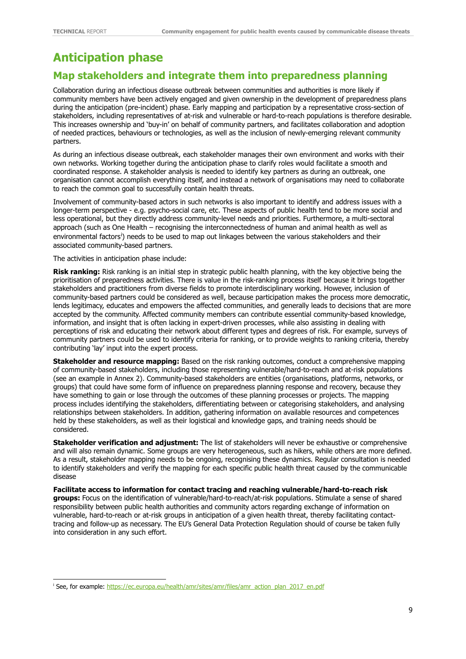## <span id="page-14-0"></span>**Anticipation phase**

## <span id="page-14-1"></span>**Map stakeholders and integrate them into preparedness planning**

Collaboration during an infectious disease outbreak between communities and authorities is more likely if community members have been actively engaged and given ownership in the development of preparedness plans during the anticipation (pre-incident) phase. Early mapping and participation by a representative cross-section of stakeholders, including representatives of at-risk and vulnerable or hard-to-reach populations is therefore desirable. This increases ownership and 'buy-in' on behalf of community partners, and facilitates collaboration and adoption of needed practices, behaviours or technologies, as well as the inclusion of newly-emerging relevant community partners.

As during an infectious disease outbreak, each stakeholder manages their own environment and works with their own networks. Working together during the anticipation phase to clarify roles would facilitate a smooth and coordinated response. A stakeholder analysis is needed to identify key partners as during an outbreak, one organisation cannot accomplish everything itself, and instead a network of organisations may need to collaborate to reach the common goal to successfully contain health threats.

Involvement of community-based actors in such networks is also important to identify and address issues with a longer-term perspective - e.g. psycho-social care, etc. These aspects of public health tend to be more social and less operational, but they directly address community-level needs and priorities. Furthermore, a multi-sectoral approach (such as One Health – recognising the interconnectedness of human and animal health as well as env[i](#page-14-2)ronmental factors') needs to be used to map out linkages between the various stakeholders and their associated community-based partners.

The activities in anticipation phase include:

**Risk ranking:** Risk ranking is an initial step in strategic public health planning, with the key objective being the prioritisation of preparedness activities. There is value in the risk-ranking process itself because it brings together stakeholders and practitioners from diverse fields to promote interdisciplinary working. However, inclusion of community-based partners could be considered as well, because participation makes the process more democratic, lends legitimacy, educates and empowers the affected communities, and generally leads to decisions that are more accepted by the community. Affected community members can contribute essential community-based knowledge, information, and insight that is often lacking in expert-driven processes, while also assisting in dealing with perceptions of risk and educating their network about different types and degrees of risk. For example, surveys of community partners could be used to identify criteria for ranking, or to provide weights to ranking criteria, thereby contributing 'lay' input into the expert process.

**Stakeholder and resource mapping:** Based on the risk ranking outcomes, conduct a comprehensive mapping of community-based stakeholders, including those representing vulnerable/hard-to-reach and at-risk populations (see an example in Annex 2). Community-based stakeholders are entities (organisations, platforms, networks, or groups) that could have some form of influence on preparedness planning response and recovery, because they have something to gain or lose through the outcomes of these planning processes or projects. The mapping process includes identifying the stakeholders, differentiating between or categorising stakeholders, and analysing relationships between stakeholders. In addition, gathering information on available resources and competences held by these stakeholders, as well as their logistical and knowledge gaps, and training needs should be considered.

**Stakeholder verification and adjustment:** The list of stakeholders will never be exhaustive or comprehensive and will also remain dynamic. Some groups are very heterogeneous, such as hikers, while others are more defined. As a result, stakeholder mapping needs to be ongoing, recognising these dynamics. Regular consultation is needed to identify stakeholders and verify the mapping for each specific public health threat caused by the communicable disease

**Facilitate access to information for contact tracing and reaching vulnerable/hard-to-reach risk groups:** Focus on the identification of vulnerable/hard-to-reach/at-risk populations. Stimulate a sense of shared responsibility between public health authorities and community actors regarding exchange of information on vulnerable, hard-to-reach or at-risk groups in anticipation of a given health threat, thereby facilitating contacttracing and follow-up as necessary. The EU's General Data Protection Regulation should of course be taken fully into consideration in any such effort.

<span id="page-14-2"></span><sup>&</sup>lt;sup>i</sup> See, for example[: https://ec.europa.eu/health/amr/sites/amr/files/amr\\_action\\_plan\\_2017\\_en.pdf](https://ec.europa.eu/health/amr/sites/amr/files/amr_action_plan_2017_en.pdf)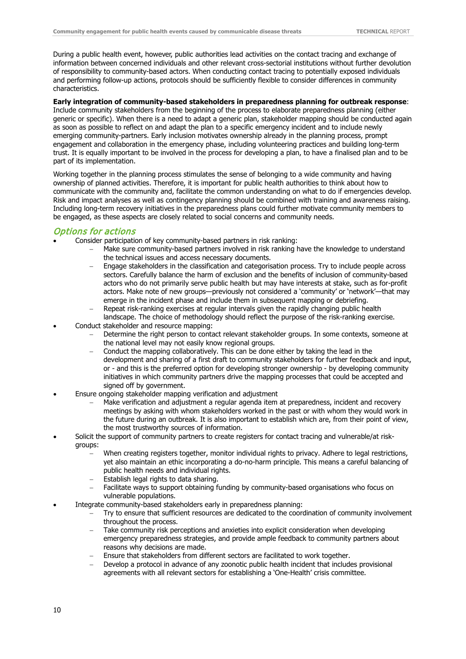During a public health event, however, public authorities lead activities on the contact tracing and exchange of information between concerned individuals and other relevant cross-sectorial institutions without further devolution of responsibility to community-based actors. When conducting contact tracing to potentially exposed individuals and performing follow-up actions, protocols should be sufficiently flexible to consider differences in community characteristics.

#### **Early integration of community-based stakeholders in preparedness planning for outbreak response**:

Include community stakeholders from the beginning of the process to elaborate preparedness planning (either generic or specific). When there is a need to adapt a generic plan, stakeholder mapping should be conducted again as soon as possible to reflect on and adapt the plan to a specific emergency incident and to include newly emerging community-partners. Early inclusion motivates ownership already in the planning process, prompt engagement and collaboration in the emergency phase, including volunteering practices and building long-term trust. It is equally important to be involved in the process for developing a plan, to have a finalised plan and to be part of its implementation.

Working together in the planning process stimulates the sense of belonging to a wide community and having ownership of planned activities. Therefore, it is important for public health authorities to think about how to communicate with the community and, facilitate the common understanding on what to do if emergencies develop. Risk and impact analyses as well as contingency planning should be combined with training and awareness raising. Including long-term recovery initiatives in the preparedness plans could further motivate community members to be engaged, as these aspects are closely related to social concerns and community needs.

#### Options for actions

- Consider participation of key community-based partners in risk ranking:
	- Make sure community-based partners involved in risk ranking have the knowledge to understand the technical issues and access necessary documents.
	- Engage stakeholders in the classification and categorisation process. Try to include people across sectors. Carefully balance the harm of exclusion and the benefits of inclusion of community-based actors who do not primarily serve public health but may have interests at stake, such as for-profit actors. Make note of new groups—previously not considered a 'community' or 'network'—that may emerge in the incident phase and include them in subsequent mapping or debriefing.
	- − Repeat risk-ranking exercises at regular intervals given the rapidly changing public health landscape. The choice of methodology should reflect the purpose of the risk-ranking exercise.
- Conduct stakeholder and resource mapping:
	- Determine the right person to contact relevant stakeholder groups. In some contexts, someone at the national level may not easily know regional groups.
	- − Conduct the mapping collaboratively. This can be done either by taking the lead in the development and sharing of a first draft to community stakeholders for further feedback and input, or - and this is the preferred option for developing stronger ownership - by developing community initiatives in which community partners drive the mapping processes that could be accepted and signed off by government.
- Ensure ongoing stakeholder mapping verification and adjustment
	- Make verification and adjustment a regular agenda item at preparedness, incident and recovery meetings by asking with whom stakeholders worked in the past or with whom they would work in the future during an outbreak. It is also important to establish which are, from their point of view, the most trustworthy sources of information.
- Solicit the support of community partners to create registers for contact tracing and vulnerable/at riskgroups:
	- − When creating registers together, monitor individual rights to privacy. Adhere to legal restrictions, yet also maintain an ethic incorporating a do-no-harm principle. This means a careful balancing of public health needs and individual rights.
	- − Establish legal rights to data sharing.
	- Facilitate ways to support obtaining funding by community-based organisations who focus on vulnerable populations.
- Integrate community-based stakeholders early in preparedness planning:
	- Try to ensure that sufficient resources are dedicated to the coordination of community involvement throughout the process.
	- Take community risk perceptions and anxieties into explicit consideration when developing emergency preparedness strategies, and provide ample feedback to community partners about reasons why decisions are made.
	- − Ensure that stakeholders from different sectors are facilitated to work together.
	- Develop a protocol in advance of any zoonotic public health incident that includes provisional agreements with all relevant sectors for establishing a 'One-Health' crisis committee.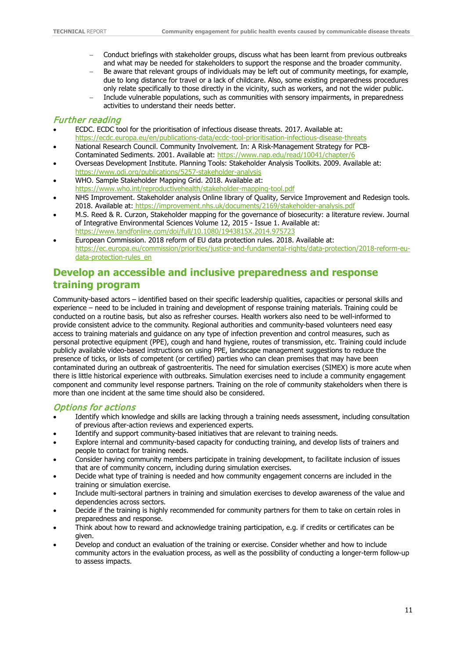- − Conduct briefings with stakeholder groups, discuss what has been learnt from previous outbreaks and what may be needed for stakeholders to support the response and the broader community.
- Be aware that relevant groups of individuals may be left out of community meetings, for example, due to long distance for travel or a lack of childcare. Also, some existing preparedness procedures only relate specifically to those directly in the vicinity, such as workers, and not the wider public.
- − Include vulnerable populations, such as communities with sensory impairments, in preparedness activities to understand their needs better.

#### Further reading

- ECDC. ECDC tool for the prioritisation of infectious disease threats. 2017. Available at: <https://ecdc.europa.eu/en/publications-data/ecdc-tool-prioritisation-infectious-disease-threats>
- National Research Council. Community Involvement. In: A Risk-Management Strategy for PCB-Contaminated Sediments. 2001. Available at:<https://www.nap.edu/read/10041/chapter/6>
- Overseas Development Institute. Planning Tools: Stakeholder Analysis Toolkits. 2009. Available at: <https://www.odi.org/publications/5257-stakeholder-analysis>
- WHO. Sample Stakeholder Mapping Grid. 2018. Available at:
- <https://www.who.int/reproductivehealth/stakeholder-mapping-tool.pdf>
- NHS Improvement. Stakeholder analysis Online library of Quality, Service Improvement and Redesign tools. 2018. Available at: <https://improvement.nhs.uk/documents/2169/stakeholder-analysis.pdf>
- M.S. Reed & R. Curzon, Stakeholder mapping for the governance of biosecurity: a literature review. Journal of Integrative Environmental Sciences Volume 12, 2015 - Issue 1. Available at: <https://www.tandfonline.com/doi/full/10.1080/1943815X.2014.975723>
- European Commission. 2018 reform of EU data protection rules. 2018. Available at: [https://ec.europa.eu/commission/priorities/justice-and-fundamental-rights/data-protection/2018-reform-eu](https://ec.europa.eu/commission/priorities/justice-and-fundamental-rights/data-protection/2018-reform-eu-data-protection-rules_en)[data-protection-rules\\_en](https://ec.europa.eu/commission/priorities/justice-and-fundamental-rights/data-protection/2018-reform-eu-data-protection-rules_en)

## <span id="page-16-0"></span>**Develop an accessible and inclusive preparedness and response training program**

Community-based actors – identified based on their specific leadership qualities, capacities or personal skills and experience – need to be included in training and development of response training materials. Training could be conducted on a routine basis, but also as refresher courses. Health workers also need to be well-informed to provide consistent advice to the community. Regional authorities and community-based volunteers need easy access to training materials and guidance on any type of infection prevention and control measures, such as personal protective equipment (PPE), cough and hand hygiene, routes of transmission, etc. Training could include publicly available video-based instructions on using PPE, landscape management suggestions to reduce the presence of ticks, or lists of competent (or certified) parties who can clean premises that may have been contaminated during an outbreak of gastroenteritis. The need for simulation exercises (SIMEX) is more acute when there is little historical experience with outbreaks. Simulation exercises need to include a community engagement component and community level response partners. Training on the role of community stakeholders when there is more than one incident at the same time should also be considered.

#### Options for actions

- Identify which knowledge and skills are lacking through a training needs assessment, including consultation of previous after-action reviews and experienced experts.
- Identify and support community-based initiatives that are relevant to training needs.
- Explore internal and community-based capacity for conducting training, and develop lists of trainers and people to contact for training needs.
- Consider having community members participate in training development, to facilitate inclusion of issues that are of community concern, including during simulation exercises.
- Decide what type of training is needed and how community engagement concerns are included in the training or simulation exercise.
- Include multi-sectoral partners in training and simulation exercises to develop awareness of the value and dependencies across sectors.
- Decide if the training is highly recommended for community partners for them to take on certain roles in preparedness and response.
- Think about how to reward and acknowledge training participation, e.g. if credits or certificates can be given.
- Develop and conduct an evaluation of the training or exercise. Consider whether and how to include community actors in the evaluation process, as well as the possibility of conducting a longer-term follow-up to assess impacts.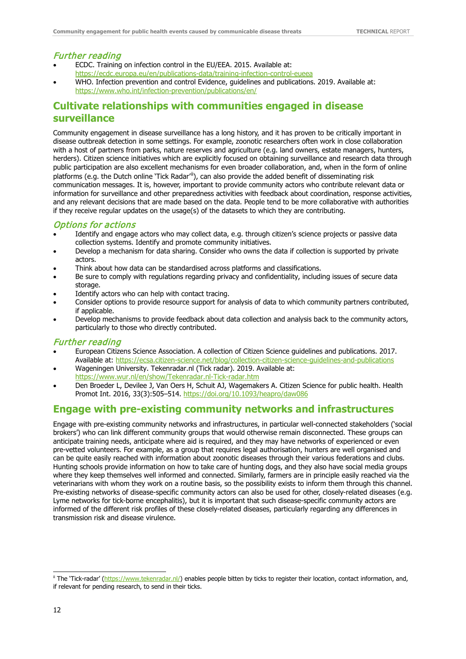#### Further reading

- ECDC. Training on infection control in the EU/EEA. 2015. Available at: <https://ecdc.europa.eu/en/publications-data/training-infection-control-eueea>
- WHO. Infection prevention and control Evidence, guidelines and publications. 2019. Available at: <https://www.who.int/infection-prevention/publications/en/>

## <span id="page-17-0"></span>**Cultivate relationships with communities engaged in disease surveillance**

Community engagement in disease surveillance has a long history, and it has proven to be critically important in disease outbreak detection in some settings. For example, zoonotic researchers often work in close collaboration with a host of partners from parks, nature reserves and agriculture (e.g. land owners, estate managers, hunters, herders). Citizen science initiatives which are explicitly focused on obtaining surveillance and research data through public participation are also excellent mechanisms for even broader collaboration, and, when in the form of online platforms (e.g. the Dutch online `Tick Radar'"), can also provide the added benefit of disseminating risk communication messages. It is, however, important to provide community actors who contribute relevant data or information for surveillance and other preparedness activities with feedback about coordination, response activities, and any relevant decisions that are made based on the data. People tend to be more collaborative with authorities if they receive regular updates on the usage(s) of the datasets to which they are contributing.

#### Options for actions

- Identify and engage actors who may collect data, e.g. through citizen's science projects or passive data collection systems. Identify and promote community initiatives.
- Develop a mechanism for data sharing. Consider who owns the data if collection is supported by private actors.
- Think about how data can be standardised across platforms and classifications.
- Be sure to comply with regulations regarding privacy and confidentiality, including issues of secure data storage.
- Identify actors who can help with contact tracing.
- Consider options to provide resource support for analysis of data to which community partners contributed, if applicable.
- Develop mechanisms to provide feedback about data collection and analysis back to the community actors, particularly to those who directly contributed.

#### Further reading

- European Citizens Science Association. A collection of Citizen Science guidelines and publications. 2017. Available at:<https://ecsa.citizen-science.net/blog/collection-citizen-science-guidelines-and-publications>
- Wageningen University. Tekenradar.nl (Tick radar). 2019. Available at: <https://www.wur.nl/en/show/Tekenradar.nl-Tick-radar.htm>
- Den Broeder L, Devilee J, Van Oers H, Schuit AJ, Wagemakers A. Citizen Science for public health. Health Promot Int. 2016, 33(3):505–514.<https://doi.org/10.1093/heapro/daw086>

### <span id="page-17-1"></span>**Engage with pre-existing community networks and infrastructures**

Engage with pre-existing community networks and infrastructures, in particular well-connected stakeholders ('social brokers') who can link different community groups that would otherwise remain disconnected. These groups can anticipate training needs, anticipate where aid is required, and they may have networks of experienced or even pre-vetted volunteers. For example, as a group that requires legal authorisation, hunters are well organised and can be quite easily reached with information about zoonotic diseases through their various federations and clubs. Hunting schools provide information on how to take care of hunting dogs, and they also have social media groups where they keep themselves well informed and connected. Similarly, farmers are in principle easily reached via the veterinarians with whom they work on a routine basis, so the possibility exists to inform them through this channel. Pre-existing networks of disease-specific community actors can also be used for other, closely-related diseases (e.g. Lyme networks for tick-borne encephalitis), but it is important that such disease-specific community actors are informed of the different risk profiles of these closely-related diseases, particularly regarding any differences in transmission risk and disease virulence.

<span id="page-17-2"></span>ii The 'Tick-radar' [\(https://www.tekenradar.nl/\)](https://www.tekenradar.nl/) enables people bitten by ticks to register their location, contact information, and, if relevant for pending research, to send in their ticks.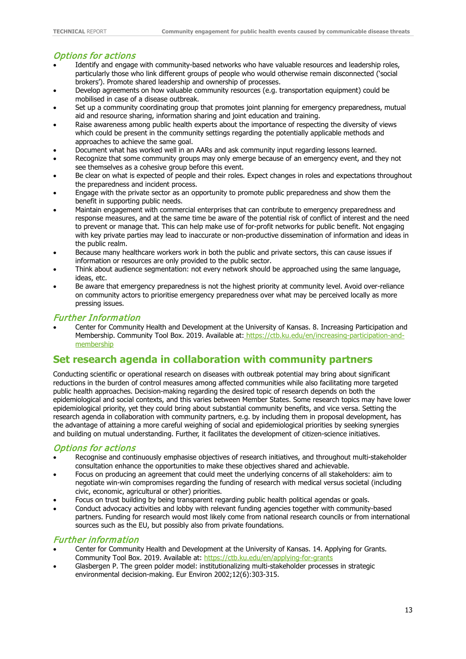### Options for actions

- Identify and engage with community-based networks who have valuable resources and leadership roles, particularly those who link different groups of people who would otherwise remain disconnected ('social brokers'). Promote shared leadership and ownership of processes.
- Develop agreements on how valuable community resources (e.g. transportation equipment) could be mobilised in case of a disease outbreak.
- Set up a community coordinating group that promotes joint planning for emergency preparedness, mutual aid and resource sharing, information sharing and joint education and training.
- Raise awareness among public health experts about the importance of respecting the diversity of views which could be present in the community settings regarding the potentially applicable methods and approaches to achieve the same goal.
- Document what has worked well in an AARs and ask community input regarding lessons learned.
- Recognize that some community groups may only emerge because of an emergency event, and they not see themselves as a cohesive group before this event.
- Be clear on what is expected of people and their roles. Expect changes in roles and expectations throughout the preparedness and incident process.
- Engage with the private sector as an opportunity to promote public preparedness and show them the benefit in supporting public needs.
- Maintain engagement with commercial enterprises that can contribute to emergency preparedness and response measures, and at the same time be aware of the potential risk of conflict of interest and the need to prevent or manage that. This can help make use of for-profit networks for public benefit. Not engaging with key private parties may lead to inaccurate or non-productive dissemination of information and ideas in the public realm.
- Because many healthcare workers work in both the public and private sectors, this can cause issues if information or resources are only provided to the public sector.
- Think about audience segmentation: not every network should be approached using the same language, ideas, etc.
- Be aware that emergency preparedness is not the highest priority at community level. Avoid over-reliance on community actors to prioritise emergency preparedness over what may be perceived locally as more pressing issues.

#### Further Information

• Center for Community Health and Development at the University of Kansas. 8. Increasing Participation and Membership. Community Tool Box. 2019. Available at: [https://ctb.ku.edu/en/increasing-participation-and](https://ctb.ku.edu/en/increasing-participation-and-membership)[membership](https://ctb.ku.edu/en/increasing-participation-and-membership)

## <span id="page-18-0"></span>**Set research agenda in collaboration with community partners**

Conducting scientific or operational research on diseases with outbreak potential may bring about significant reductions in the burden of control measures among affected communities while also facilitating more targeted public health approaches. Decision-making regarding the desired topic of research depends on both the epidemiological and social contexts, and this varies between Member States. Some research topics may have lower epidemiological priority, yet they could bring about substantial community benefits, and vice versa. Setting the research agenda in collaboration with community partners, e.g. by including them in proposal development, has the advantage of attaining a more careful weighing of social and epidemiological priorities by seeking synergies and building on mutual understanding. Further, it facilitates the development of citizen-science initiatives.

#### Options for actions

- Recognise and continuously emphasise objectives of research initiatives, and throughout multi-stakeholder consultation enhance the opportunities to make these objectives shared and achievable.
- Focus on producing an agreement that could meet the underlying concerns of all stakeholders: aim to negotiate win-win compromises regarding the funding of research with medical versus societal (including civic, economic, agricultural or other) priorities.
- Focus on trust building by being transparent regarding public health political agendas or goals.
- Conduct advocacy activities and lobby with relevant funding agencies together with community-based partners. Funding for research would most likely come from national research councils or from international sources such as the EU, but possibly also from private foundations.

#### Further information

- Center for Community Health and Development at the University of Kansas. 14. Applying for Grants. Community Tool Box. 2019. Available at:<https://ctb.ku.edu/en/applying-for-grants>
- Glasbergen P. The green polder model: institutionalizing multi-stakeholder processes in strategic environmental decision-making. Eur Environ 2002;12(6):303-315.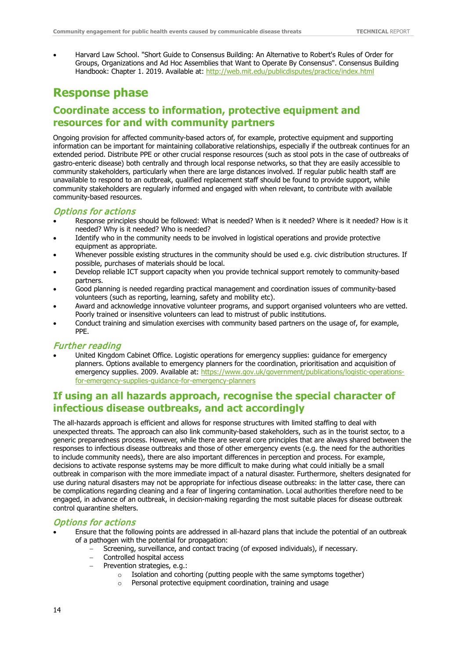• Harvard Law School. "Short Guide to Consensus Building: An Alternative to Robert's Rules of Order for Groups, Organizations and Ad Hoc Assemblies that Want to Operate By Consensus". Consensus Building Handbook: Chapter 1. 2019. Available at:<http://web.mit.edu/publicdisputes/practice/index.html>

## <span id="page-19-0"></span>**Response phase**

## <span id="page-19-1"></span>**Coordinate access to information, protective equipment and resources for and with community partners**

Ongoing provision for affected community-based actors of, for example, protective equipment and supporting information can be important for maintaining collaborative relationships, especially if the outbreak continues for an extended period. Distribute PPE or other crucial response resources (such as stool pots in the case of outbreaks of gastro-enteric disease) both centrally and through local response networks, so that they are easily accessible to community stakeholders, particularly when there are large distances involved. If regular public health staff are unavailable to respond to an outbreak, qualified replacement staff should be found to provide support, while community stakeholders are regularly informed and engaged with when relevant, to contribute with available community-based resources.

#### Options for actions

- Response principles should be followed: What is needed? When is it needed? Where is it needed? How is it needed? Why is it needed? Who is needed?
- Identify who in the community needs to be involved in logistical operations and provide protective equipment as appropriate.
- Whenever possible existing structures in the community should be used e.g. civic distribution structures. If possible, purchases of materials should be local.
- Develop reliable ICT support capacity when you provide technical support remotely to community-based partners.
- Good planning is needed regarding practical management and coordination issues of community-based volunteers (such as reporting, learning, safety and mobility etc).
- Award and acknowledge innovative volunteer programs, and support organised volunteers who are vetted. Poorly trained or insensitive volunteers can lead to mistrust of public institutions.
- Conduct training and simulation exercises with community based partners on the usage of, for example, PPE.

#### Further reading

• United Kingdom Cabinet Office. Logistic operations for emergency supplies: guidance for emergency planners. Options available to emergency planners for the coordination, prioritisation and acquisition of emergency supplies. 2009. Available at: [https://www.gov.uk/government/publications/logistic-operations](https://www.gov.uk/government/publications/logistic-operations-for-emergency-supplies-guidance-for-emergency-planners)[for-emergency-supplies-guidance-for-emergency-planners](https://www.gov.uk/government/publications/logistic-operations-for-emergency-supplies-guidance-for-emergency-planners)

## <span id="page-19-2"></span>**If using an all hazards approach, recognise the special character of infectious disease outbreaks, and act accordingly**

The all-hazards approach is efficient and allows for response structures with limited staffing to deal with unexpected threats. The approach can also link community-based stakeholders, such as in the tourist sector, to a generic preparedness process. However, while there are several core principles that are always shared between the responses to infectious disease outbreaks and those of other emergency events (e.g. the need for the authorities to include community needs), there are also important differences in perception and process. For example, decisions to activate response systems may be more difficult to make during what could initially be a small outbreak in comparison with the more immediate impact of a natural disaster. Furthermore, shelters designated for use during natural disasters may not be appropriate for infectious disease outbreaks: in the latter case, there can be complications regarding cleaning and a fear of lingering contamination. Local authorities therefore need to be engaged, in advance of an outbreak, in decision-making regarding the most suitable places for disease outbreak control quarantine shelters.

#### Options for actions

- Ensure that the following points are addressed in all-hazard plans that include the potential of an outbreak of a pathogen with the potential for propagation:
	- Screening, surveillance, and contact tracing (of exposed individuals), if necessary.
	- − Controlled hospital access
	- − Prevention strategies, e.g.:
		- o Isolation and cohorting (putting people with the same symptoms together)
			- o Personal protective equipment coordination, training and usage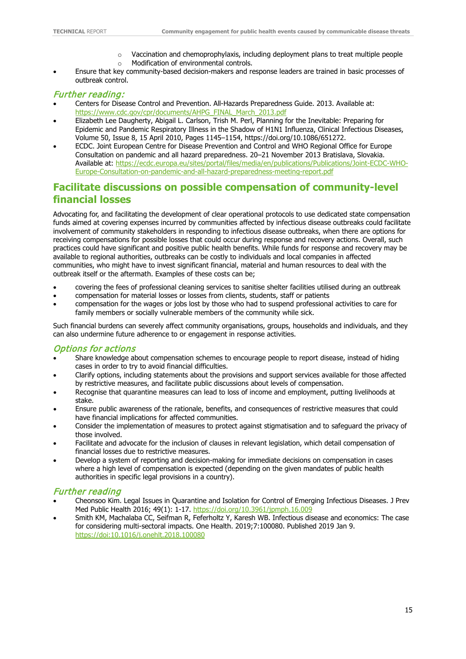- o Vaccination and chemoprophylaxis, including deployment plans to treat multiple people
- o Modification of environmental controls.
- Ensure that key community-based decision-makers and response leaders are trained in basic processes of outbreak control.

#### Further reading:

- Centers for Disease Control and Prevention. All-Hazards Preparedness Guide. 2013. Available at: [https://www.cdc.gov/cpr/documents/AHPG\\_FINAL\\_March\\_2013.pdf](https://www.cdc.gov/cpr/documents/AHPG_FINAL_March_2013.pdf)
- Elizabeth Lee Daugherty, Abigail L. Carlson, Trish M. Perl, Planning for the Inevitable: Preparing for Epidemic and Pandemic Respiratory Illness in the Shadow of H1N1 Influenza, Clinical Infectious Diseases, Volume 50, Issue 8, 15 April 2010, Pages 1145–1154, [https://doi.org/10.1086/651272.](https://doi.org/10.1086/651272)
- ECDC. Joint European Centre for Disease Prevention and Control and WHO Regional Office for Europe Consultation on pandemic and all hazard preparedness. 20–21 November 2013 Bratislava, Slovakia. Available at: [https://ecdc.europa.eu/sites/portal/files/media/en/publications/Publications/Joint-ECDC-WHO-](https://ecdc.europa.eu/sites/portal/files/media/en/publications/Publications/Joint-ECDC-WHO-Europe-Consultation-on-pandemic-and-all-hazard-preparedness-meeting-report.pdf)[Europe-Consultation-on-pandemic-and-all-hazard-preparedness-meeting-report.pdf](https://ecdc.europa.eu/sites/portal/files/media/en/publications/Publications/Joint-ECDC-WHO-Europe-Consultation-on-pandemic-and-all-hazard-preparedness-meeting-report.pdf)

## <span id="page-20-0"></span>**Facilitate discussions on possible compensation of community-level financial losses**

Advocating for, and facilitating the development of clear operational protocols to use dedicated state compensation funds aimed at covering expenses incurred by communities affected by infectious disease outbreaks could facilitate involvement of community stakeholders in responding to infectious disease outbreaks, when there are options for receiving compensations for possible losses that could occur during response and recovery actions. Overall, such practices could have significant and positive public health benefits. While funds for response and recovery may be available to regional authorities, outbreaks can be costly to individuals and local companies in affected communities, who might have to invest significant financial, material and human resources to deal with the outbreak itself or the aftermath. Examples of these costs can be;

- covering the fees of professional cleaning services to sanitise shelter facilities utilised during an outbreak
- compensation for material losses or losses from clients, students, staff or patients
- compensation for the wages or jobs lost by those who had to suspend professional activities to care for family members or socially vulnerable members of the community while sick.

Such financial burdens can severely affect community organisations, groups, households and individuals, and they can also undermine future adherence to or engagement in response activities.

#### Options for actions

- Share knowledge about compensation schemes to encourage people to report disease, instead of hiding cases in order to try to avoid financial difficulties.
- Clarify options, including statements about the provisions and support services available for those affected by restrictive measures, and facilitate public discussions about levels of compensation.
- Recognise that quarantine measures can lead to loss of income and employment, putting livelihoods at stake.
- Ensure public awareness of the rationale, benefits, and consequences of restrictive measures that could have financial implications for affected communities.
- Consider the implementation of measures to protect against stigmatisation and to safeguard the privacy of those involved.
- Facilitate and advocate for the inclusion of clauses in relevant legislation, which detail compensation of financial losses due to restrictive measures.
- Develop a system of reporting and decision-making for immediate decisions on compensation in cases where a high level of compensation is expected (depending on the given mandates of public health authorities in specific legal provisions in a country).

#### Further reading

- Cheonsoo Kim. Legal Issues in Quarantine and Isolation for Control of Emerging Infectious Diseases. J Prev Med Public Health 2016; 49(1): 1-17.<https://doi.org/10.3961/jpmph.16.009>
- Smith KM, Machalaba CC, Seifman R, Feferholtz Y, Karesh WB. Infectious disease and economics: The case for considering multi-sectoral impacts. One Health. 2019;7:100080. Published 2019 Jan 9. <https://doi:10.1016/j.onehlt.2018.100080>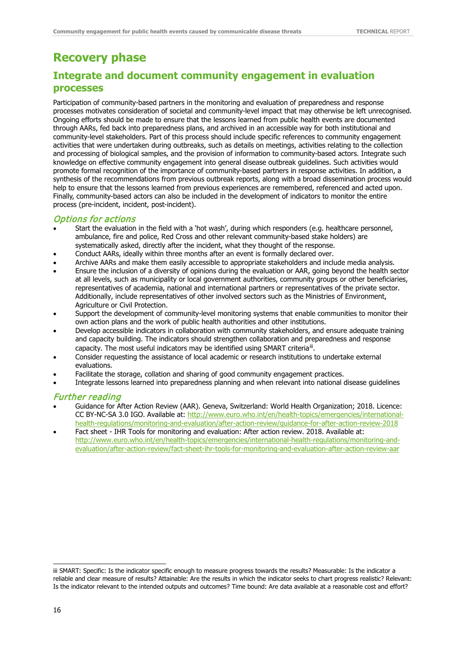# <span id="page-21-0"></span>**Recovery phase**

## <span id="page-21-1"></span>**Integrate and document community engagement in evaluation processes**

Participation of community-based partners in the monitoring and evaluation of preparedness and response processes motivates consideration of societal and community-level impact that may otherwise be left unrecognised. Ongoing efforts should be made to ensure that the lessons learned from public health events are documented through AARs, fed back into preparedness plans, and archived in an accessible way for both institutional and community-level stakeholders. Part of this process should include specific references to community engagement activities that were undertaken during outbreaks, such as details on meetings, activities relating to the collection and processing of biological samples, and the provision of information to community-based actors. Integrate such knowledge on effective community engagement into general disease outbreak guidelines. Such activities would promote formal recognition of the importance of community-based partners in response activities. In addition, a synthesis of the recommendations from previous outbreak reports, along with a broad dissemination process would help to ensure that the lessons learned from previous experiences are remembered, referenced and acted upon. Finally, community-based actors can also be included in the development of indicators to monitor the entire process (pre-incident, incident, post-incident).

#### Options for actions

- Start the evaluation in the field with a 'hot wash', during which responders (e.g. healthcare personnel, ambulance, fire and police, Red Cross and other relevant community-based stake holders) are systematically asked, directly after the incident, what they thought of the response.
- Conduct AARs, ideally within three months after an event is formally declared over.
- Archive AARs and make them easily accessible to appropriate stakeholders and include media analysis.
- Ensure the inclusion of a diversity of opinions during the evaluation or AAR, going beyond the health sector at all levels, such as municipality or local government authorities, community groups or other beneficiaries, representatives of academia, national and international partners or representatives of the private sector. Additionally, include representatives of other involved sectors such as the Ministries of Environment, Agriculture or Civil Protection.
- Support the development of community-level monitoring systems that enable communities to monitor their own action plans and the work of public health authorities and other institutions.
- Develop accessible indicators in collaboration with community stakeholders, and ensure adequate training and capacity building. The indicators should strengthen collaboration and preparedness and response capacity. The most useful indicators may be identified using SMART criteria<sup>[iii](#page-21-2)</sup>.
- Consider requesting the assistance of local academic or research institutions to undertake external evaluations.
- Facilitate the storage, collation and sharing of good community engagement practices.
- Integrate lessons learned into preparedness planning and when relevant into national disease guidelines

#### Further reading

- Guidance for After Action Review (AAR). Geneva, Switzerland: World Health Organization; 2018. Licence: CC BY-NC-SA 3.0 IGO. Available at: [http://www.euro.who.int/en/health-topics/emergencies/international](http://www.euro.who.int/en/health-topics/emergencies/international-health-regulations/monitoring-and-evaluation/after-action-review/guidance-for-after-action-review-2018)[health-regulations/monitoring-and-evaluation/after-action-review/guidance-for-after-action-review-2018](http://www.euro.who.int/en/health-topics/emergencies/international-health-regulations/monitoring-and-evaluation/after-action-review/guidance-for-after-action-review-2018)
- Fact sheet IHR Tools for monitoring and evaluation: After action review. 2018. Available at: [http://www.euro.who.int/en/health-topics/emergencies/international-health-regulations/monitoring-and](http://www.euro.who.int/en/health-topics/emergencies/international-health-regulations/monitoring-and-evaluation/after-action-review/fact-sheet-ihr-tools-for-monitoring-and-evaluation-after-action-review-aar)[evaluation/after-action-review/fact-sheet-ihr-tools-for-monitoring-and-evaluation-after-action-review-aar](http://www.euro.who.int/en/health-topics/emergencies/international-health-regulations/monitoring-and-evaluation/after-action-review/fact-sheet-ihr-tools-for-monitoring-and-evaluation-after-action-review-aar)

j

<span id="page-21-2"></span>iii SMART: Specific: Is the indicator specific enough to measure progress towards the results? Measurable: Is the indicator a reliable and clear measure of results? Attainable: Are the results in which the indicator seeks to chart progress realistic? Relevant: Is the indicator relevant to the intended outputs and outcomes? Time bound: Are data available at a reasonable cost and effort?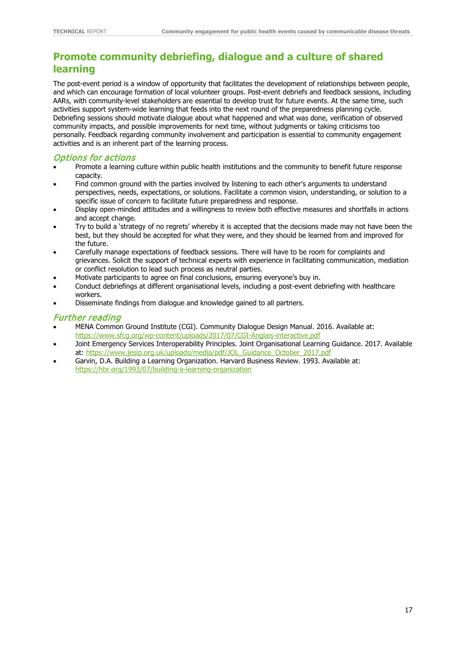## <span id="page-22-0"></span>**Promote community debriefing, dialogue and a culture of shared learning**

The post-event period is a window of opportunity that facilitates the development of relationships between people, and which can encourage formation of local volunteer groups. Post-event debriefs and feedback sessions, including AARs, with community-level stakeholders are essential to develop trust for future events. At the same time, such activities support system-wide learning that feeds into the next round of the preparedness planning cycle. Debriefing sessions should motivate dialogue about what happened and what was done, verification of observed community impacts, and possible improvements for next time, without judgments or taking criticisms too personally. Feedback regarding community involvement and participation is essential to community engagement activities and is an inherent part of the learning process.

### Options for actions

- Promote a learning culture within public health institutions and the community to benefit future response capacity.
- Find common ground with the parties involved by listening to each other's arguments to understand perspectives, needs, expectations, or solutions. Facilitate a common vision, understanding, or solution to a specific issue of concern to facilitate future preparedness and response.
- Display open-minded attitudes and a willingness to review both effective measures and shortfalls in actions and accept change.
- Try to build a 'strategy of no regrets' whereby it is accepted that the decisions made may not have been the best, but they should be accepted for what they were, and they should be learned from and improved for the future.
- Carefully manage expectations of feedback sessions. There will have to be room for complaints and grievances. Solicit the support of technical experts with experience in facilitating communication, mediation or conflict resolution to lead such process as neutral parties.
- Motivate participants to agree on final conclusions, ensuring everyone's buy in.
- Conduct debriefings at different organisational levels, including a post-event debriefing with healthcare workers.
- Disseminate findings from dialogue and knowledge gained to all partners.

#### Further reading

- MENA Common Ground Institute (CGI). Community Dialogue Design Manual. 2016. Available at: <https://www.sfcg.org/wp-content/uploads/2017/07/CGI-Anglais-interactive.pdf>
- Joint Emergency Services Interoperability Principles. Joint Organisational Learning Guidance. 2017. Available at: [https://www.jesip.org.uk/uploads/media/pdf/JOL\\_Guidance\\_October\\_2017.pdf](https://www.jesip.org.uk/uploads/media/pdf/JOL_Guidance_October_2017.pdf)
- Garvin, D.A. Building a Learning Organization. Harvard Business Review. 1993. Available at: <https://hbr.org/1993/07/building-a-learning-organization>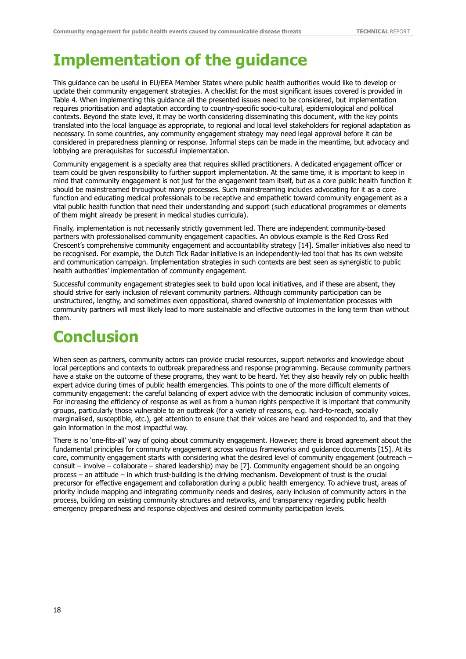# <span id="page-23-0"></span>**Implementation of the guidance**

This guidance can be useful in EU/EEA Member States where public health authorities would like to develop or update their community engagement strategies. A checklist for the most significant issues covered is provided in Table 4. When implementing this guidance all the presented issues need to be considered, but implementation requires prioritisation and adaptation according to country-specific socio-cultural, epidemiological and political contexts. Beyond the state level, it may be worth considering disseminating this document, with the key points translated into the local language as appropriate, to regional and local level stakeholders for regional adaptation as necessary. In some countries, any community engagement strategy may need legal approval before it can be considered in preparedness planning or response. Informal steps can be made in the meantime, but advocacy and lobbying are prerequisites for successful implementation.

Community engagement is a specialty area that requires skilled practitioners. A dedicated engagement officer or team could be given responsibility to further support implementation. At the same time, it is important to keep in mind that community engagement is not just for the engagement team itself, but as a core public health function it should be mainstreamed throughout many processes. Such mainstreaming includes advocating for it as a core function and educating medical professionals to be receptive and empathetic toward community engagement as a vital public health function that need their understanding and support (such educational programmes or elements of them might already be present in medical studies curricula).

Finally, implementation is not necessarily strictly government led. There are independent community-based partners with professionalised community engagement capacities. An obvious example is the Red Cross Red Crescent's comprehensive community engagement and accountability strategy [14]. Smaller initiatives also need to be recognised. For example, the Dutch Tick Radar initiative is an independently-led tool that has its own website and communication campaign. Implementation strategies in such contexts are best seen as synergistic to public health authorities' implementation of community engagement.

Successful community engagement strategies seek to build upon local initiatives, and if these are absent, they should strive for early inclusion of relevant community partners. Although community participation can be unstructured, lengthy, and sometimes even oppositional, shared ownership of implementation processes with community partners will most likely lead to more sustainable and effective outcomes in the long term than without them.

# <span id="page-23-1"></span>**Conclusion**

When seen as partners, community actors can provide crucial resources, support networks and knowledge about local perceptions and contexts to outbreak preparedness and response programming. Because community partners have a stake on the outcome of these programs, they want to be heard. Yet they also heavily rely on public health expert advice during times of public health emergencies. This points to one of the more difficult elements of community engagement: the careful balancing of expert advice with the democratic inclusion of community voices. For increasing the efficiency of response as well as from a human rights perspective it is important that community groups, particularly those vulnerable to an outbreak (for a variety of reasons, e.g. hard-to-reach, socially marginalised, susceptible, etc.), get attention to ensure that their voices are heard and responded to, and that they gain information in the most impactful way.

There is no 'one-fits-all' way of going about community engagement. However, there is broad agreement about the fundamental principles for community engagement across various frameworks and guidance documents [15]. At its core, community engagement starts with considering what the desired level of community engagement (outreach – consult – involve – collaborate – shared leadership) may be [7]. Community engagement should be an ongoing process – an attitude – in which trust-building is the driving mechanism. Development of trust is the crucial precursor for effective engagement and collaboration during a public health emergency. To achieve trust, areas of priority include mapping and integrating community needs and desires, early inclusion of community actors in the process, building on existing community structures and networks, and transparency regarding public health emergency preparedness and response objectives and desired community participation levels.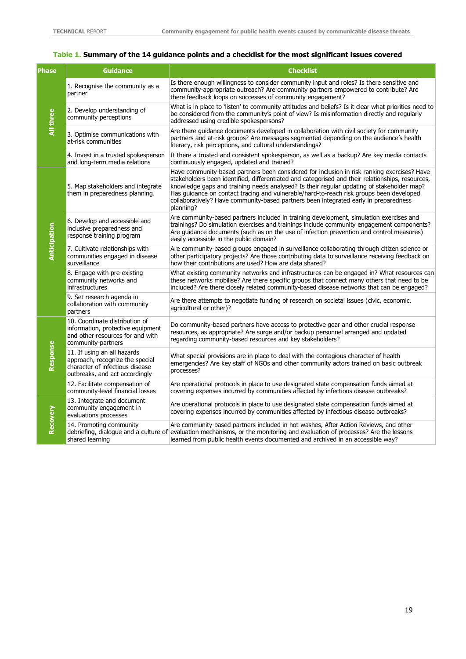#### <span id="page-24-0"></span>**Table 1. Summary of the 14 guidance points and a checklist for the most significant issues covered**

| <b>Phase</b> | Guidance                                                                                                                            | <b>Checklist</b>                                                                                                                                                                                                                                                                                                                                                                                                                                                                             |
|--------------|-------------------------------------------------------------------------------------------------------------------------------------|----------------------------------------------------------------------------------------------------------------------------------------------------------------------------------------------------------------------------------------------------------------------------------------------------------------------------------------------------------------------------------------------------------------------------------------------------------------------------------------------|
| All three    | 1. Recognise the community as a<br>partner                                                                                          | Is there enough willingness to consider community input and roles? Is there sensitive and<br>community-appropriate outreach? Are community partners empowered to contribute? Are<br>there feedback loops on successes of community engagement?                                                                                                                                                                                                                                               |
|              | 2. Develop understanding of<br>community perceptions                                                                                | What is in place to 'listen' to community attitudes and beliefs? Is it clear what priorities need to<br>be considered from the community's point of view? Is misinformation directly and regularly<br>addressed using credible spokespersons?                                                                                                                                                                                                                                                |
|              | 3. Optimise communications with<br>at-risk communities                                                                              | Are there quidance documents developed in collaboration with civil society for community<br>partners and at-risk groups? Are messages segmented depending on the audience's health<br>literacy, risk perceptions, and cultural understandings?                                                                                                                                                                                                                                               |
|              | 4. Invest in a trusted spokesperson<br>and long-term media relations                                                                | It there a trusted and consistent spokesperson, as well as a backup? Are key media contacts<br>continuously engaged, updated and trained?                                                                                                                                                                                                                                                                                                                                                    |
| Anticipation | 5. Map stakeholders and integrate<br>them in preparedness planning.                                                                 | Have community-based partners been considered for inclusion in risk ranking exercises? Have<br>stakeholders been identified, differentiated and categorised and their relationships, resources,<br>knowledge gaps and training needs analysed? Is their regular updating of stakeholder map?<br>Has guidance on contact tracing and vulnerable/hard-to-reach risk groups been developed<br>collaboratively? Have community-based partners been integrated early in preparedness<br>planning? |
|              | 6. Develop and accessible and<br>inclusive preparedness and<br>response training program                                            | Are community-based partners included in training development, simulation exercises and<br>trainings? Do simulation exercises and trainings include community engagement components?<br>Are guidance documents (such as on the use of infection prevention and control measures)<br>easily accessible in the public domain?                                                                                                                                                                  |
|              | 7. Cultivate relationships with<br>communities engaged in disease<br>surveillance                                                   | Are community-based groups engaged in surveillance collaborating through citizen science or<br>other participatory projects? Are those contributing data to surveillance receiving feedback on<br>how their contributions are used? How are data shared?                                                                                                                                                                                                                                     |
|              | 8. Engage with pre-existing<br>community networks and<br>infrastructures                                                            | What existing community networks and infrastructures can be engaged in? What resources can<br>these networks mobilise? Are there specific groups that connect many others that need to be<br>included? Are there closely related community-based disease networks that can be engaged?                                                                                                                                                                                                       |
|              | 9. Set research agenda in<br>collaboration with community<br>partners                                                               | Are there attempts to negotiate funding of research on societal issues (civic, economic,<br>agricultural or other)?                                                                                                                                                                                                                                                                                                                                                                          |
| Response     | 10. Coordinate distribution of<br>information, protective equipment<br>and other resources for and with<br>community-partners       | Do community-based partners have access to protective gear and other crucial response<br>resources, as appropriate? Are surge and/or backup personnel arranged and updated<br>regarding community-based resources and key stakeholders?                                                                                                                                                                                                                                                      |
|              | 11. If using an all hazards<br>approach, recognize the special<br>character of infectious disease<br>outbreaks, and act accordingly | What special provisions are in place to deal with the contagious character of health<br>emergencies? Are key staff of NGOs and other community actors trained on basic outbreak<br>processes?                                                                                                                                                                                                                                                                                                |
|              | 12. Facilitate compensation of<br>community-level financial losses                                                                  | Are operational protocols in place to use designated state compensation funds aimed at<br>covering expenses incurred by communities affected by infectious disease outbreaks?                                                                                                                                                                                                                                                                                                                |
| Recovery     | 13. Integrate and document<br>community engagement in<br>evaluations processes                                                      | Are operational protocols in place to use designated state compensation funds aimed at<br>covering expenses incurred by communities affected by infectious disease outbreaks?                                                                                                                                                                                                                                                                                                                |
|              | 14. Promoting community<br>shared learning                                                                                          | Are community-based partners included in hot-washes, After Action Reviews, and other<br>debriefing, dialogue and a culture of evaluation mechanisms, or the monitoring and evaluation of processes? Are the lessons<br>learned from public health events documented and archived in an accessible way?                                                                                                                                                                                       |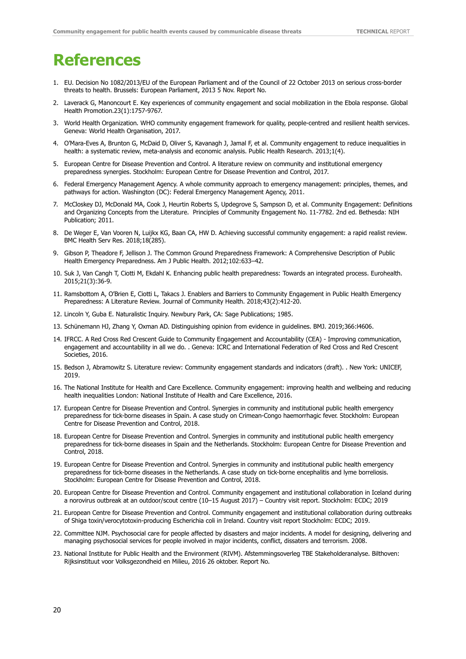# <span id="page-25-0"></span>**References**

- 1. EU. Decision No 1082/2013/EU of the European Parliament and of the Council of 22 October 2013 on serious cross-border threats to health. Brussels: European Parliament, 2013 5 Nov. Report No.
- 2. Laverack G, Manoncourt E. Key experiences of community engagement and social mobilization in the Ebola response. Global Health Promotion.23(1):1757-9767.
- 3. World Health Organization. WHO community engagement framework for quality, people-centred and resilient health services. Geneva: World Health Organisation, 2017.
- 4. O'Mara-Eves A, Brunton G, McDaid D, Oliver S, Kavanagh J, Jamal F, et al. Community engagement to reduce inequalities in health: a systematic review, meta-analysis and economic analysis. Public Health Research. 2013;1(4).
- 5. European Centre for Disease Prevention and Control. A literature review on community and institutional emergency preparedness synergies. Stockholm: European Centre for Disease Prevention and Control, 2017.
- 6. Federal Emergency Management Agency. A whole community approach to emergency management: principles, themes, and pathways for action. Washington (DC): Federal Emergency Management Agency, 2011.
- 7. McCloskey DJ, McDonald MA, Cook J, Heurtin Roberts S, Updegrove S, Sampson D, et al. Community Engagement: Definitions and Organizing Concepts from the Literature. Principles of Community Engagement No. 11-7782. 2nd ed. Bethesda: NIH Publication; 2011.
- 8. De Weger E, Van Vooren N, Luijkx KG, Baan CA, HW D. Achieving successful community engagement: a rapid realist review. BMC Health Serv Res. 2018;18(285).
- 9. Gibson P, Theadore F, Jellison J. The Common Ground Preparedness Framework: A Comprehensive Description of Public Health Emergency Preparedness. Am J Public Health. 2012;102:633–42.
- 10. Suk J, Van Cangh T, Ciotti M, Ekdahl K. Enhancing public health preparedness: Towards an integrated process. Eurohealth. 2015;21(3):36-9.
- 11. Ramsbottom A, O'Brien E, Ciotti L, Takacs J. Enablers and Barriers to Community Engagement in Public Health Emergency Preparedness: A Literature Review. Journal of Community Health. 2018;43(2):412-20.
- 12. Lincoln Y, Guba E. Naturalistic Inquiry. Newbury Park, CA: Sage Publications; 1985.
- 13. Schünemann HJ, Zhang Y, Oxman AD. Distinguishing opinion from evidence in guidelines. BMJ. 2019;366:l4606.
- 14. IFRCC. A Red Cross Red Crescent Guide to Community Engagement and Accountability (CEA) Improving communication, engagement and accountability in all we do. . Geneva: ICRC and International Federation of Red Cross and Red Crescent Societies, 2016.
- 15. Bedson J, Abramowitz S. Literature review: Community engagement standards and indicators (draft). . New York: UNICEF, 2019.
- 16. The National Institute for Health and Care Excellence. Community engagement: improving health and wellbeing and reducing health inequalities London: National Institute of Health and Care Excellence, 2016.
- 17. European Centre for Disease Prevention and Control. Synergies in community and institutional public health emergency preparedness for tick-borne diseases in Spain. A case study on Crimean-Congo haemorrhagic fever. Stockholm: European Centre for Disease Prevention and Control, 2018.
- 18. European Centre for Disease Prevention and Control. Synergies in community and institutional public health emergency preparedness for tick-borne diseases in Spain and the Netherlands. Stockholm: European Centre for Disease Prevention and Control, 2018.
- 19. European Centre for Disease Prevention and Control. Synergies in community and institutional public health emergency preparedness for tick-borne diseases in the Netherlands. A case study on tick-borne encephalitis and lyme borreliosis. Stockholm: European Centre for Disease Prevention and Control, 2018.
- 20. European Centre for Disease Prevention and Control. Community engagement and institutional collaboration in Iceland during a norovirus outbreak at an outdoor/scout centre (10–15 August 2017) – Country visit report. Stockholm: ECDC; 2019
- 21. European Centre for Disease Prevention and Control. Community engagement and institutional collaboration during outbreaks of Shiga toxin/verocytotoxin-producing Escherichia coli in Ireland. Country visit report Stockholm: ECDC; 2019.
- 22. Committee NJM. Psychosocial care for people affected by disasters and major incidents. A model for designing, delivering and managing psychosocial services for people involved in major incidents, conflict, dissaters and terrorism. 2008.
- 23. National Institute for Public Health and the Environment (RIVM). Afstemmingsoverleg TBE Stakeholderanalyse. Bilthoven: Rijksinstituut voor Volksgezondheid en Milieu, 2016 26 oktober. Report No.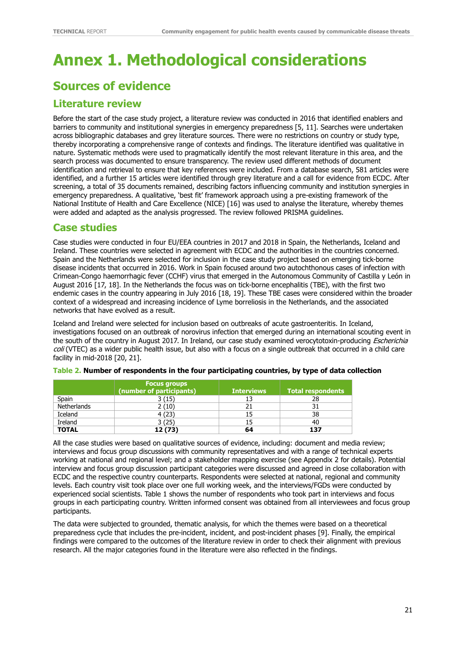# <span id="page-26-0"></span>**Annex 1. Methodological considerations**

## **Sources of evidence**

## **Literature review**

Before the start of the case study project, a literature review was conducted in 2016 that identified enablers and barriers to community and institutional synergies in emergency preparedness [5, 11]. Searches were undertaken across bibliographic databases and grey literature sources. There were no restrictions on country or study type, thereby incorporating a comprehensive range of contexts and findings. The literature identified was qualitative in nature. Systematic methods were used to pragmatically identify the most relevant literature in this area, and the search process was documented to ensure transparency. The review used different methods of document identification and retrieval to ensure that key references were included. From a database search, 581 articles were identified, and a further 15 articles were identified through grey literature and a call for evidence from ECDC. After screening, a total of 35 documents remained, describing factors influencing community and institution synergies in emergency preparedness. A qualitative, 'best fit' framework approach using a pre-existing framework of the National Institute of Health and Care Excellence (NICE) [16] was used to analyse the literature, whereby themes were added and adapted as the analysis progressed. The review followed PRISMA guidelines.

## **Case studies**

Case studies were conducted in four EU/EEA countries in 2017 and 2018 in Spain, the Netherlands, Iceland and Ireland. These countries were selected in agreement with ECDC and the authorities in the countries concerned. Spain and the Netherlands were selected for inclusion in the case study project based on emerging tick-borne disease incidents that occurred in 2016. Work in Spain focused around two autochthonous cases of infection with Crimean-Congo haemorrhagic fever (CCHF) virus that emerged in the Autonomous Community of Castilla y León in August 2016 [17, 18]. In the Netherlands the focus was on tick-borne encephalitis (TBE), with the first two endemic cases in the country appearing in July 2016 [18, 19]. These TBE cases were considered within the broader context of a widespread and increasing incidence of Lyme borreliosis in the Netherlands, and the associated networks that have evolved as a result.

Iceland and Ireland were selected for inclusion based on outbreaks of acute gastroenteritis. In Iceland, investigations focused on an outbreak of norovirus infection that emerged during an international scouting event in the south of the country in August 2017. In Ireland, our case study examined verocytotoxin-producing *Escherichia* coli (VTEC) as a wider public health issue, but also with a focus on a single outbreak that occurred in a child care facility in mid-2018 [20, 21].

|              | <b>Focus groups</b><br>(number of participants) | <b>Interviews</b> | Total respondents |
|--------------|-------------------------------------------------|-------------------|-------------------|
| Spain        | 3 (15)                                          |                   | 28                |
| Netherlands  | 2(10)                                           |                   | 31                |
| Iceland      | 4(23)                                           |                   | 38                |
| Ireland      | 3(25)                                           |                   | 40                |
| <b>TOTAL</b> | 12 (73)                                         | 64                | 137               |

<span id="page-26-1"></span>

|  | Table 2. Number of respondents in the four participating countries, by type of data collection |  |  |  |
|--|------------------------------------------------------------------------------------------------|--|--|--|
|--|------------------------------------------------------------------------------------------------|--|--|--|

All the case studies were based on qualitative sources of evidence, including: document and media review; interviews and focus group discussions with community representatives and with a range of technical experts working at national and regional level; and a stakeholder mapping exercise (see Appendix 2 for details). Potential interview and focus group discussion participant categories were discussed and agreed in close collaboration with ECDC and the respective country counterparts. Respondents were selected at national, regional and community levels. Each country visit took place over one full working week, and the interviews/FGDs were conducted by experienced social scientists. Table 1 shows the number of respondents who took part in interviews and focus groups in each participating country. Written informed consent was obtained from all interviewees and focus group participants.

The data were subjected to grounded, thematic analysis, for which the themes were based on a theoretical preparedness cycle that includes the pre-incident, incident, and post-incident phases [9]. Finally, the empirical findings were compared to the outcomes of the literature review in order to check their alignment with previous research. All the major categories found in the literature were also reflected in the findings.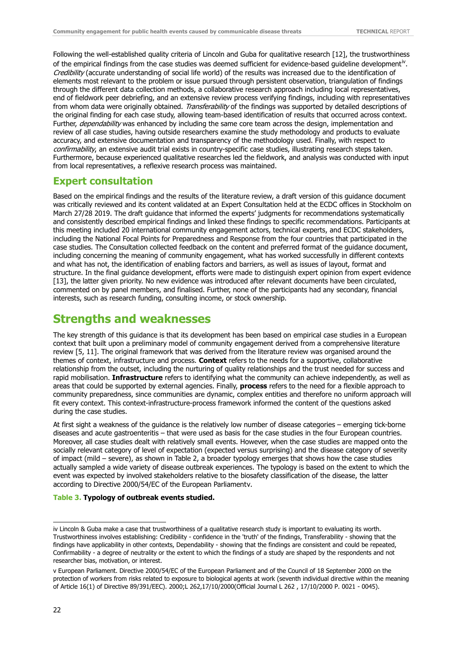Following the well-established quality criteria of Lincoln and Guba for qualitative research [12], the trustworthiness of the empirical findings from the case studies was deemed sufficient for evidence-based quideline development[iv](#page-27-1). Credibility (accurate understanding of social life world) of the results was increased due to the identification of elements most relevant to the problem or issue pursued through persistent observation, triangulation of findings through the different data collection methods, a collaborative research approach including local representatives, end of fieldwork peer debriefing, and an extensive review process verifying findings, including with representatives from whom data were originally obtained. Transferability of the findings was supported by detailed descriptions of the original finding for each case study, allowing team-based identification of results that occurred across context. Further, dependability was enhanced by including the same core team across the design, implementation and review of all case studies, having outside researchers examine the study methodology and products to evaluate accuracy, and extensive documentation and transparency of the methodology used. Finally, with respect to confirmability, an extensive audit trial exists in country-specific case studies, illustrating research steps taken. Furthermore, because experienced qualitative researches led the fieldwork, and analysis was conducted with input from local representatives, a reflexive research process was maintained.

### **Expert consultation**

Based on the empirical findings and the results of the literature review, a draft version of this guidance document was critically reviewed and its content validated at an Expert Consultation held at the ECDC offices in Stockholm on March 27/28 2019. The draft guidance that informed the experts' judgments for recommendations systematically and consistently described empirical findings and linked these findings to specific recommendations. Participants at this meeting included 20 international community engagement actors, technical experts, and ECDC stakeholders, including the National Focal Points for Preparedness and Response from the four countries that participated in the case studies. The Consultation collected feedback on the content and preferred format of the guidance document, including concerning the meaning of community engagement, what has worked successfully in different contexts and what has not, the identification of enabling factors and barriers, as well as issues of layout, format and structure. In the final guidance development, efforts were made to distinguish expert opinion from expert evidence [13], the latter given priority. No new evidence was introduced after relevant documents have been circulated, commented on by panel members, and finalised. Further, none of the participants had any secondary, financial interests, such as research funding, consulting income, or stock ownership.

## **Strengths and weaknesses**

The key strength of this guidance is that its development has been based on empirical case studies in a European context that built upon a preliminary model of community engagement derived from a comprehensive literature review [5, 11]. The original framework that was derived from the literature review was organised around the themes of context, infrastructure and process. **Context** refers to the needs for a supportive, collaborative relationship from the outset, including the nurturing of quality relationships and the trust needed for success and rapid mobilisation. **Infrastructure** refers to identifying what the community can achieve independently, as well as areas that could be supported by external agencies. Finally, **process** refers to the need for a flexible approach to community preparedness, since communities are dynamic, complex entities and therefore no uniform approach will fit every context. This context-infrastructure-process framework informed the content of the questions asked during the case studies.

At first sight a weakness of the guidance is the relatively low number of disease categories – emerging tick-borne diseases and acute gastroenteritis – that were used as basis for the case studies in the four European countries. Moreover, all case studies dealt with relatively small events. However, when the case studies are mapped onto the socially relevant category of level of expectation (expected versus surprising) and the disease category of severity of impact (mild – severe), as shown in Table 2, a broader typology emerges that shows how the case studies actually sampled a wide variety of disease outbreak experiences. The typology is based on the extent to which the event was expected by involved stakeholders relative to the biosafety classification of the disease, the latter according to Directive 2000/54/EC of the European Parliamen[tv.](#page-27-2)

#### <span id="page-27-0"></span>**Table 3. Typology of outbreak events studied.**

j

<span id="page-27-1"></span>iv Lincoln & Guba make a case that trustworthiness of a qualitative research study is important to evaluating its worth. Trustworthiness involves establishing: Credibility - confidence in the 'truth' of the findings, Transferability - showing that the findings have applicability in other contexts, Dependability - showing that the findings are consistent and could be repeated, Confirmability - a degree of neutrality or the extent to which the findings of a study are shaped by the respondents and not researcher bias, motivation, or interest.

<span id="page-27-2"></span>v European Parliament. Directive 2000/54/EC of the European Parliament and of the Council of 18 September 2000 on the protection of workers from risks related to exposure to biological agents at work (seventh individual directive within the meaning of Article 16(1) of Directive 89/391/EEC). 2000;L 262,17/10/2000(Official Journal L 262 , 17/10/2000 P. 0021 - 0045).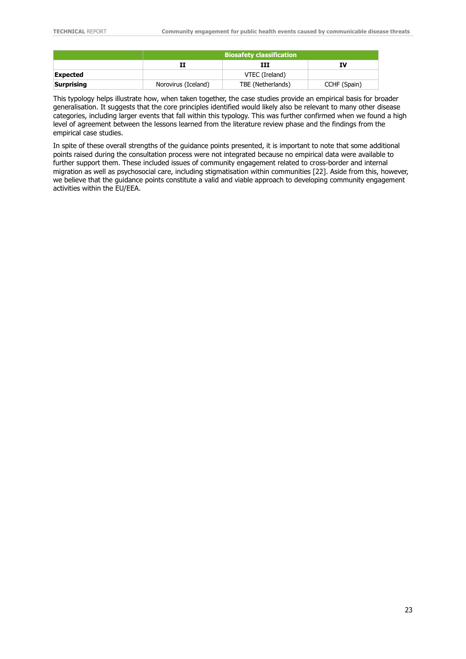|            | <b>Biosafety classification</b> |                   |              |
|------------|---------------------------------|-------------------|--------------|
|            |                                 | ш                 | IV           |
| Expected   |                                 | VTEC (Ireland)    |              |
| Surprising | Norovirus (Iceland)             | TBE (Netherlands) | CCHF (Spain) |

This typology helps illustrate how, when taken together, the case studies provide an empirical basis for broader generalisation. It suggests that the core principles identified would likely also be relevant to many other disease categories, including larger events that fall within this typology. This was further confirmed when we found a high level of agreement between the lessons learned from the literature review phase and the findings from the empirical case studies.

In spite of these overall strengths of the guidance points presented, it is important to note that some additional points raised during the consultation process were not integrated because no empirical data were available to further support them. These included issues of community engagement related to cross-border and internal migration as well as psychosocial care, including stigmatisation within communities [22]. Aside from this, however, we believe that the guidance points constitute a valid and viable approach to developing community engagement activities within the EU/EEA.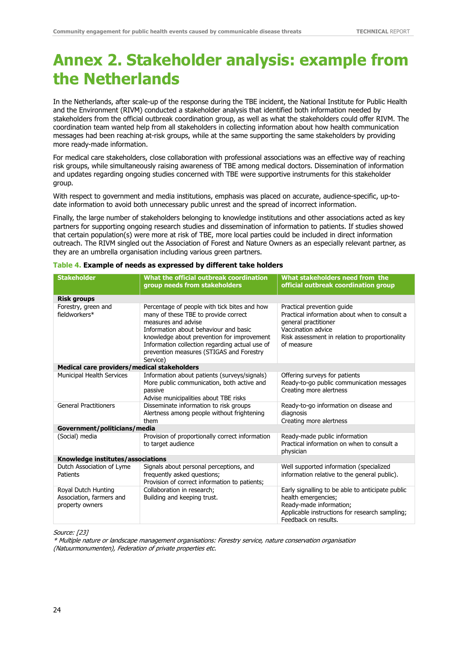# <span id="page-29-0"></span>**Annex 2. Stakeholder analysis: example from the Netherlands**

In the Netherlands, after scale-up of the response during the TBE incident, the National Institute for Public Health and the Environment (RIVM) conducted a stakeholder analysis that identified both information needed by stakeholders from the official outbreak coordination group, as well as what the stakeholders could offer RIVM. The coordination team wanted help from all stakeholders in collecting information about how health communication messages had been reaching at-risk groups, while at the same supporting the same stakeholders by providing more ready-made information.

For medical care stakeholders, close collaboration with professional associations was an effective way of reaching risk groups, while simultaneously raising awareness of TBE among medical doctors. Dissemination of information and updates regarding ongoing studies concerned with TBE were supportive instruments for this stakeholder group.

With respect to government and media institutions, emphasis was placed on accurate, audience-specific, up-todate information to avoid both unnecessary public unrest and the spread of incorrect information.

Finally, the large number of stakeholders belonging to knowledge institutions and other associations acted as key partners for supporting ongoing research studies and dissemination of information to patients. If studies showed that certain population(s) were more at risk of TBE, more local parties could be included in direct information outreach. The RIVM singled out the Association of Forest and Nature Owners as an especially relevant partner, as they are an umbrella organisation including various green partners.

| <b>Stakeholder</b>                                                 | What the official outbreak coordination<br>group needs from stakeholders                                                                                                                                                                                                                                     | What stakeholders need from the<br>official outbreak coordination group                                                                                                                   |  |  |
|--------------------------------------------------------------------|--------------------------------------------------------------------------------------------------------------------------------------------------------------------------------------------------------------------------------------------------------------------------------------------------------------|-------------------------------------------------------------------------------------------------------------------------------------------------------------------------------------------|--|--|
| <b>Risk groups</b>                                                 |                                                                                                                                                                                                                                                                                                              |                                                                                                                                                                                           |  |  |
| Forestry, green and<br>fieldworkers*                               | Percentage of people with tick bites and how<br>many of these TBE to provide correct<br>measures and advise<br>Information about behaviour and basic<br>knowledge about prevention for improvement<br>Information collection regarding actual use of<br>prevention measures (STIGAS and Forestry<br>Service) | Practical prevention quide<br>Practical information about when to consult a<br>general practitioner<br>Vaccination advice<br>Risk assessment in relation to proportionality<br>of measure |  |  |
| Medical care providers/medical stakeholders                        |                                                                                                                                                                                                                                                                                                              |                                                                                                                                                                                           |  |  |
| Municipal Health Services                                          | Information about patients (surveys/signals)<br>More public communication, both active and<br>passive<br>Advise municipalities about TBE risks                                                                                                                                                               | Offering surveys for patients<br>Ready-to-go public communication messages<br>Creating more alertness                                                                                     |  |  |
| <b>General Practitioners</b>                                       | Disseminate information to risk groups<br>Alertness among people without frightening<br>them                                                                                                                                                                                                                 | Ready-to-go information on disease and<br>diagnosis<br>Creating more alertness                                                                                                            |  |  |
| Government/politicians/media                                       |                                                                                                                                                                                                                                                                                                              |                                                                                                                                                                                           |  |  |
| (Social) media                                                     | Provision of proportionally correct information<br>to target audience                                                                                                                                                                                                                                        | Ready-made public information<br>Practical information on when to consult a<br>physician                                                                                                  |  |  |
| Knowledge institutes/associations                                  |                                                                                                                                                                                                                                                                                                              |                                                                                                                                                                                           |  |  |
| Dutch Association of Lyme<br>Patients                              | Signals about personal perceptions, and<br>frequently asked questions;<br>Provision of correct information to patients;                                                                                                                                                                                      | Well supported information (specialized<br>information relative to the general public).                                                                                                   |  |  |
| Royal Dutch Hunting<br>Association, farmers and<br>property owners | Collaboration in research:<br>Building and keeping trust.                                                                                                                                                                                                                                                    | Early signalling to be able to anticipate public<br>health emergencies;<br>Ready-made information;<br>Applicable instructions for research sampling;<br>Feedback on results.              |  |  |

#### <span id="page-29-1"></span>**Table 4. Example of needs as expressed by different take holders**

Source: [23]

\* Multiple nature or landscape management organisations: Forestry service, nature conservation organisation (Natuurmonumenten), Federation of private properties etc.